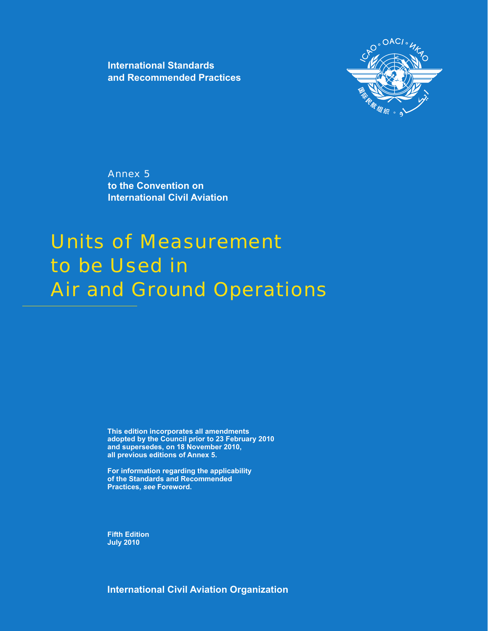**International Standards and Recommended Practices**



Annex 5 **to the Convention on International Civil Aviation**

# Units of Measurement to be Used in Air and Ground Operations

**This edition incorporates all amendments adopted by the Council prior to 23 February 2010 and supersedes, on 18 November 2010, all previous editions of Annex 5.**

**For information regarding the applicability of the Standards and Recommended Practices, see Foreword.** 

**Fifth Edition July 2010**

**International Civil Aviation Organization**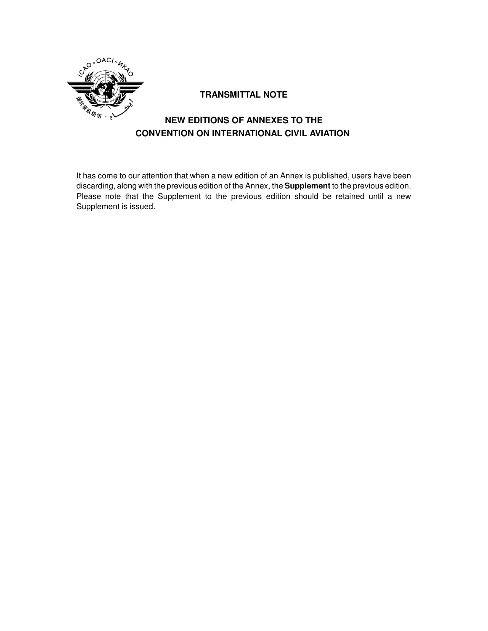

### **TRANSMITTAL NOTE**

# **NEW EDITIONS OF ANNEXES TO THE CONVENTION ON INTERNATIONAL CIVIL AVIATION**

It has come to our attention that when a new edition of an Annex is published, users have been discarding, along with the previous edition of the Annex, the **Supplement** to the previous edition. Please note that the Supplement to the previous edition should be retained until a new Supplement is issued.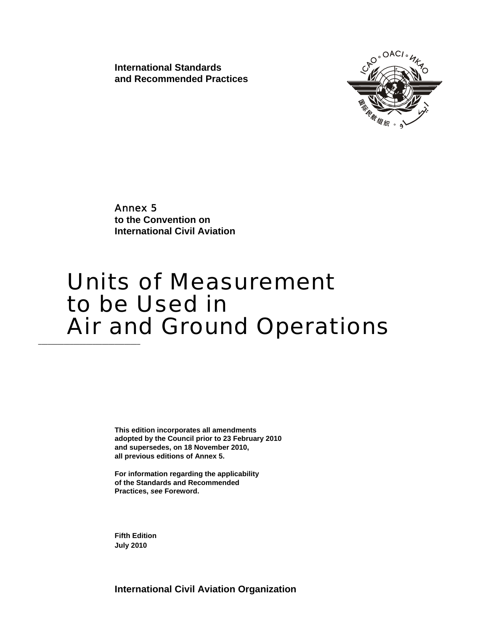**International Standards and Recommended Practices** 



Annex 5 **to the Convention on International Civil Aviation**

# Units of Measurement to be Used in **Air and Ground Operations**

**This edition incorporates all amendments adopted by the Council prior to 23 February 2010 and supersedes, on 18 November 2010, all previous editions of Annex 5.** 

**For information regarding the applicability of the Standards and Recommended Practices,** *see* **Foreword.** 

**Fifth Edition July 2010**

**International Civil Aviation Organization**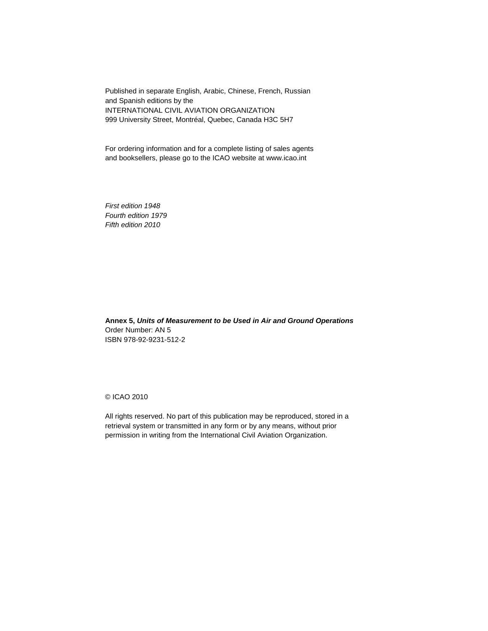Published in separate English, Arabic, Chinese, French, Russian and Spanish editions by the INTERNATIONAL CIVIL AVIATION ORGANIZATION 999 University Street, Montréal, Quebec, Canada H3C 5H7

For ordering information and for a complete listing of sales agents and booksellers, please go to the ICAO website at www.icao.int

*First edition 1948 Fourth edition 1979 Fifth edition 2010* 

**Annex 5,** *Units of Measurement to be Used in Air and Ground Operations* Order Number: AN 5 ISBN 978-92-9231-512-2

© ICAO 2010

All rights reserved. No part of this publication may be reproduced, stored in a retrieval system or transmitted in any form or by any means, without prior permission in writing from the International Civil Aviation Organization.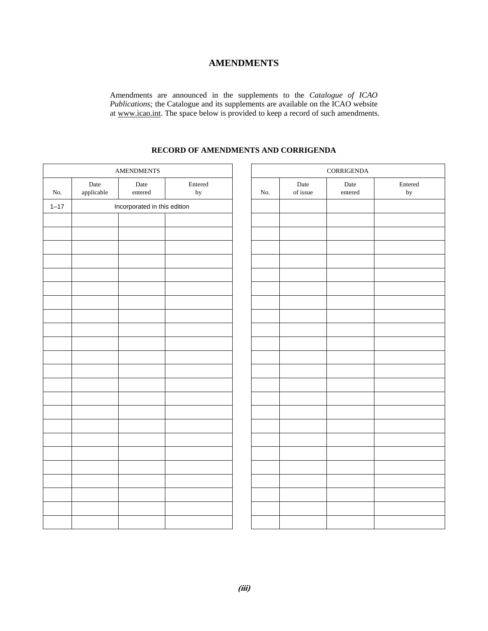### **AMENDMENTS**

Amendments are announced in the supplements to the *Catalogue of ICAO Publications;* the Catalogue and its supplements are available on the ICAO website at www.icao.int. The space below is provided to keep a record of such amendments.

### **RECORD OF AMENDMENTS AND CORRIGENDA**

| Date<br>Entered<br>Date<br>Date<br>applicable<br>entered<br>of issue<br>No.<br>$_{\rm by}$<br>No.<br>Incorporated in this edition<br>$1 - 17$ | Entered<br>Date<br>$_{\rm by}$<br>$\,$ entered |
|-----------------------------------------------------------------------------------------------------------------------------------------------|------------------------------------------------|
|                                                                                                                                               |                                                |
|                                                                                                                                               |                                                |
|                                                                                                                                               |                                                |
|                                                                                                                                               |                                                |
|                                                                                                                                               |                                                |
|                                                                                                                                               |                                                |
|                                                                                                                                               |                                                |
|                                                                                                                                               |                                                |
|                                                                                                                                               |                                                |
|                                                                                                                                               |                                                |
|                                                                                                                                               |                                                |
|                                                                                                                                               |                                                |
|                                                                                                                                               |                                                |
|                                                                                                                                               |                                                |
|                                                                                                                                               |                                                |
|                                                                                                                                               |                                                |
|                                                                                                                                               |                                                |
|                                                                                                                                               |                                                |
|                                                                                                                                               |                                                |
|                                                                                                                                               |                                                |
|                                                                                                                                               |                                                |
|                                                                                                                                               |                                                |
|                                                                                                                                               |                                                |
|                                                                                                                                               |                                                |
|                                                                                                                                               |                                                |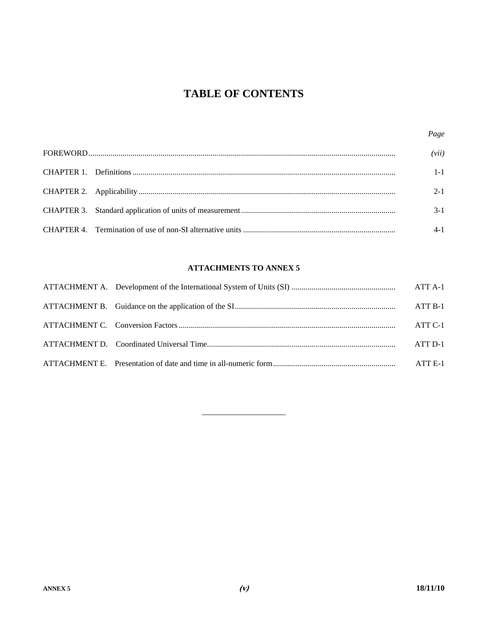# **TABLE OF CONTENTS**

|  | Page    |
|--|---------|
|  | (vii)   |
|  | $1 - 1$ |
|  | $2 - 1$ |
|  | $3-1$   |
|  |         |

### **ATTACHMENTS TO ANNEX 5**

|  | ATT A-1 |
|--|---------|
|  | ATT B-1 |
|  | ATT C-1 |
|  | ATT D-1 |
|  | ATT E-1 |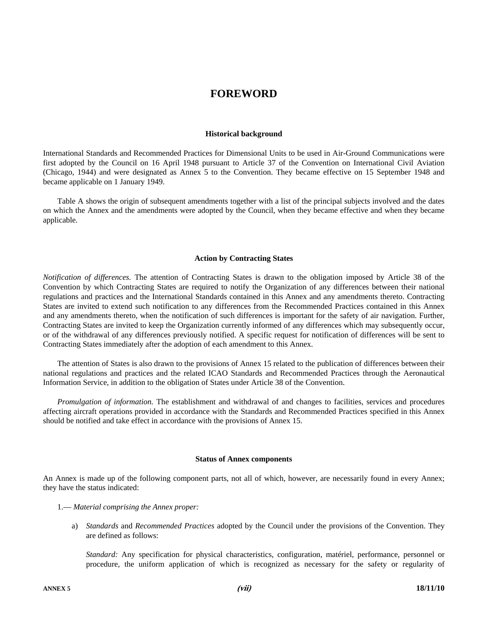## **FOREWORD**

#### **Historical background**

International Standards and Recommended Practices for Dimensional Units to be used in Air-Ground Communications were first adopted by the Council on 16 April 1948 pursuant to Article 37 of the Convention on International Civil Aviation (Chicago, 1944) and were designated as Annex 5 to the Convention. They became effective on 15 September 1948 and became applicable on 1 January 1949.

 Table A shows the origin of subsequent amendments together with a list of the principal subjects involved and the dates on which the Annex and the amendments were adopted by the Council, when they became effective and when they became applicable.

#### **Action by Contracting States**

*Notification of differences.* The attention of Contracting States is drawn to the obligation imposed by Article 38 of the Convention by which Contracting States are required to notify the Organization of any differences between their national regulations and practices and the International Standards contained in this Annex and any amendments thereto. Contracting States are invited to extend such notification to any differences from the Recommended Practices contained in this Annex and any amendments thereto, when the notification of such differences is important for the safety of air navigation. Further, Contracting States are invited to keep the Organization currently informed of any differences which may subsequently occur, or of the withdrawal of any differences previously notified. A specific request for notification of differences will be sent to Contracting States immediately after the adoption of each amendment to this Annex.

 The attention of States is also drawn to the provisions of Annex 15 related to the publication of differences between their national regulations and practices and the related ICAO Standards and Recommended Practices through the Aeronautical Information Service, in addition to the obligation of States under Article 38 of the Convention.

 *Promulgation of information.* The establishment and withdrawal of and changes to facilities, services and procedures affecting aircraft operations provided in accordance with the Standards and Recommended Practices specified in this Annex should be notified and take effect in accordance with the provisions of Annex 15.

#### **Status of Annex components**

An Annex is made up of the following component parts, not all of which, however, are necessarily found in every Annex; they have the status indicated:

- 1.— *Material comprising the Annex proper:* 
	- a) *Standards* and *Recommended Practices* adopted by the Council under the provisions of the Convention. They are defined as follows:

*Standard:* Any specification for physical characteristics, configuration, matériel, performance, personnel or procedure, the uniform application of which is recognized as necessary for the safety or regularity of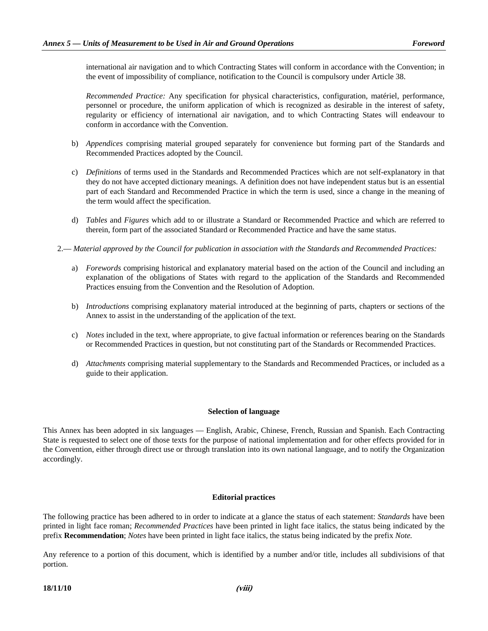international air navigation and to which Contracting States will conform in accordance with the Convention; in the event of impossibility of compliance, notification to the Council is compulsory under Article 38.

 *Recommended Practice:* Any specification for physical characteristics, configuration, matériel, performance, personnel or procedure, the uniform application of which is recognized as desirable in the interest of safety, regularity or efficiency of international air navigation, and to which Contracting States will endeavour to conform in accordance with the Convention.

- b) *Appendices* comprising material grouped separately for convenience but forming part of the Standards and Recommended Practices adopted by the Council.
- c) *Definitions* of terms used in the Standards and Recommended Practices which are not self-explanatory in that they do not have accepted dictionary meanings. A definition does not have independent status but is an essential part of each Standard and Recommended Practice in which the term is used, since a change in the meaning of the term would affect the specification.
- d) *Tables* and *Figures* which add to or illustrate a Standard or Recommended Practice and which are referred to therein, form part of the associated Standard or Recommended Practice and have the same status.
- 2.— *Material approved by the Council for publication in association with the Standards and Recommended Practices:* 
	- a) *Forewords* comprising historical and explanatory material based on the action of the Council and including an explanation of the obligations of States with regard to the application of the Standards and Recommended Practices ensuing from the Convention and the Resolution of Adoption.
	- b) *Introductions* comprising explanatory material introduced at the beginning of parts, chapters or sections of the Annex to assist in the understanding of the application of the text.
	- c) *Notes* included in the text, where appropriate, to give factual information or references bearing on the Standards or Recommended Practices in question, but not constituting part of the Standards or Recommended Practices.
	- d) *Attachments* comprising material supplementary to the Standards and Recommended Practices, or included as a guide to their application.

#### **Selection of language**

This Annex has been adopted in six languages — English, Arabic, Chinese, French, Russian and Spanish. Each Contracting State is requested to select one of those texts for the purpose of national implementation and for other effects provided for in the Convention, either through direct use or through translation into its own national language, and to notify the Organization accordingly.

#### **Editorial practices**

The following practice has been adhered to in order to indicate at a glance the status of each statement: *Standards* have been printed in light face roman; *Recommended Practices* have been printed in light face italics, the status being indicated by the prefix **Recommendation**; *Notes* have been printed in light face italics, the status being indicated by the prefix *Note.* 

Any reference to a portion of this document, which is identified by a number and/or title, includes all subdivisions of that portion.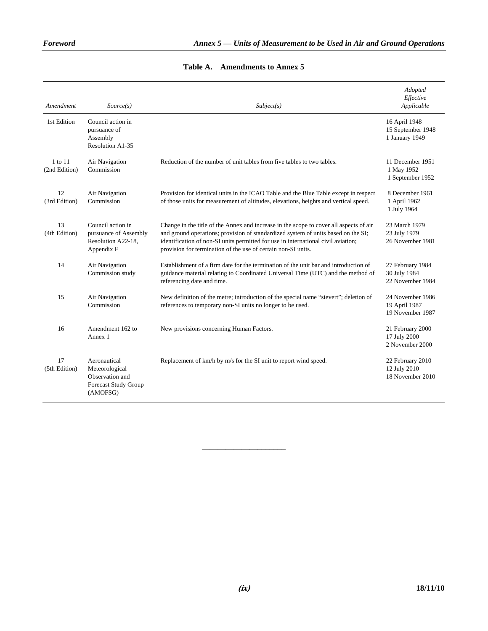| Amendment                | Source(s)                                                                             | Subject(s)                                                                                                                                                                                                                                                                                                                        | Adopted<br>Effective<br>Applicable                    |
|--------------------------|---------------------------------------------------------------------------------------|-----------------------------------------------------------------------------------------------------------------------------------------------------------------------------------------------------------------------------------------------------------------------------------------------------------------------------------|-------------------------------------------------------|
| 1st Edition              | Council action in<br>pursuance of<br>Assembly<br>Resolution A1-35                     |                                                                                                                                                                                                                                                                                                                                   | 16 April 1948<br>15 September 1948<br>1 January 1949  |
| 1 to 11<br>(2nd Edition) | Air Navigation<br>Commission                                                          | Reduction of the number of unit tables from five tables to two tables.                                                                                                                                                                                                                                                            | 11 December 1951<br>1 May 1952<br>1 September 1952    |
| 12<br>(3rd Edition)      | Air Navigation<br>Commission                                                          | Provision for identical units in the ICAO Table and the Blue Table except in respect<br>of those units for measurement of altitudes, elevations, heights and vertical speed.                                                                                                                                                      | 8 December 1961<br>1 April 1962<br>1 July 1964        |
| 13<br>(4th Edition)      | Council action in<br>pursuance of Assembly<br>Resolution A22-18,<br>Appendix F        | Change in the title of the Annex and increase in the scope to cover all aspects of air<br>and ground operations; provision of standardized system of units based on the SI;<br>identification of non-SI units permitted for use in international civil aviation;<br>provision for termination of the use of certain non-SI units. | 23 March 1979<br>23 July 1979<br>26 November 1981     |
| 14                       | Air Navigation<br>Commission study                                                    | Establishment of a firm date for the termination of the unit bar and introduction of<br>guidance material relating to Coordinated Universal Time (UTC) and the method of<br>referencing date and time.                                                                                                                            | 27 February 1984<br>30 July 1984<br>22 November 1984  |
| 15                       | Air Navigation<br>Commission                                                          | New definition of the metre; introduction of the special name "sievert"; deletion of<br>references to temporary non-SI units no longer to be used.                                                                                                                                                                                | 24 November 1986<br>19 April 1987<br>19 November 1987 |
| 16                       | Amendment 162 to<br>Annex 1                                                           | New provisions concerning Human Factors.                                                                                                                                                                                                                                                                                          | 21 February 2000<br>17 July 2000<br>2 November 2000   |
| 17<br>(5th Edition)      | Aeronautical<br>Meteorological<br>Observation and<br>Forecast Study Group<br>(AMOFSG) | Replacement of km/h by m/s for the SI unit to report wind speed.                                                                                                                                                                                                                                                                  | 22 February 2010<br>12 July 2010<br>18 November 2010  |

### **Table A. Amendments to Annex 5**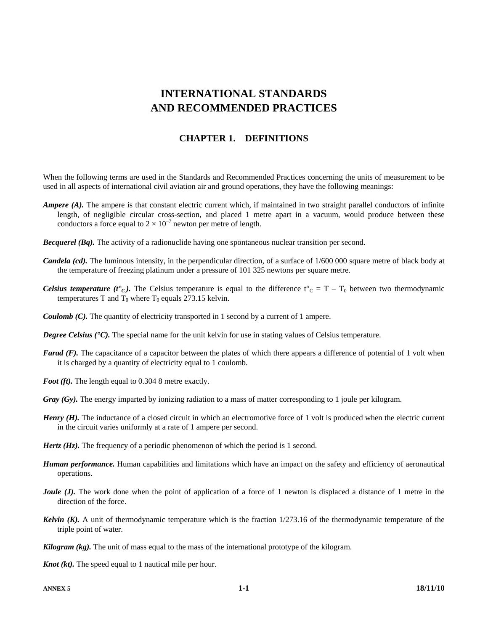# **INTERNATIONAL STANDARDS AND RECOMMENDED PRACTICES**

### **CHAPTER 1. DEFINITIONS**

When the following terms are used in the Standards and Recommended Practices concerning the units of measurement to be used in all aspects of international civil aviation air and ground operations, they have the following meanings:

- *Ampere (A).* The ampere is that constant electric current which, if maintained in two straight parallel conductors of infinite length, of negligible circular cross-section, and placed 1 metre apart in a vacuum, would produce between these conductors a force equal to  $2 \times 10^{-7}$  newton per metre of length.
- *Becquerel (Bq).* The activity of a radionuclide having one spontaneous nuclear transition per second.
- *Candela (cd)*. The luminous intensity, in the perpendicular direction, of a surface of  $1/600 000$  square metre of black body at the temperature of freezing platinum under a pressure of 101 325 newtons per square metre.
- *Celsius temperature (t<sup>o</sup>c)*. The Celsius temperature is equal to the difference  $t^{\circ}$ <sub>C</sub> = T T<sub>0</sub> between two thermodynamic temperatures T and  $T_0$  where  $T_0$  equals 273.15 kelvin.
- *Coulomb (C).* The quantity of electricity transported in 1 second by a current of 1 ampere.
- *Degree Celsius (<sup>\*</sup>C)*. The special name for the unit kelvin for use in stating values of Celsius temperature.
- *Farad (F).* The capacitance of a capacitor between the plates of which there appears a difference of potential of 1 volt when it is charged by a quantity of electricity equal to 1 coulomb.
- *Foot (ft).* The length equal to 0.304 8 metre exactly.
- *Gray (Gy).* The energy imparted by ionizing radiation to a mass of matter corresponding to 1 joule per kilogram.
- *Henry (H).* The inductance of a closed circuit in which an electromotive force of 1 volt is produced when the electric current in the circuit varies uniformly at a rate of 1 ampere per second.
- *Hertz (Hz).* The frequency of a periodic phenomenon of which the period is 1 second.
- *Human performance.* Human capabilities and limitations which have an impact on the safety and efficiency of aeronautical operations.
- *Joule (J).* The work done when the point of application of a force of 1 newton is displaced a distance of 1 metre in the direction of the force.
- *Kelvin (K).* A unit of thermodynamic temperature which is the fraction 1/273.16 of the thermodynamic temperature of the triple point of water.
- *Kilogram (kg).* The unit of mass equal to the mass of the international prototype of the kilogram.
- *Knot (kt)*. The speed equal to 1 nautical mile per hour.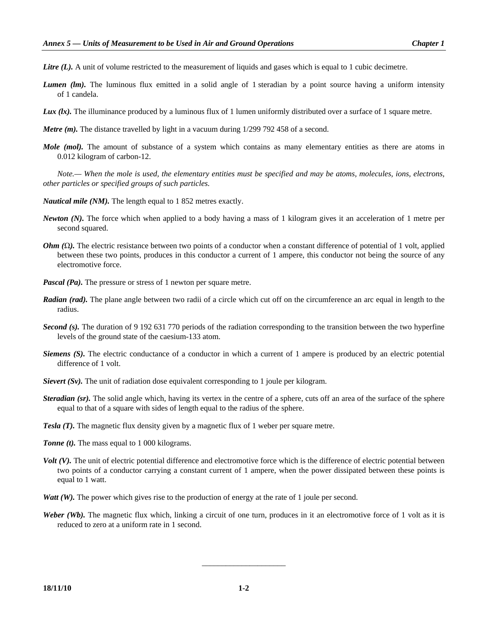- *Litre (L).* A unit of volume restricted to the measurement of liquids and gases which is equal to 1 cubic decimetre.
- *Lumen (lm).* The luminous flux emitted in a solid angle of 1 steradian by a point source having a uniform intensity of 1 candela.
- *Lux (lx).* The illuminance produced by a luminous flux of 1 lumen uniformly distributed over a surface of 1 square metre.
- *Metre (m)*. The distance travelled by light in a vacuum during 1/299 792 458 of a second.
- *Mole (mol).* The amount of substance of a system which contains as many elementary entities as there are atoms in 0.012 kilogram of carbon-12.

 *Note.— When the mole is used, the elementary entities must be specified and may be atoms, molecules, ions, electrons, other particles or specified groups of such particles.* 

- *Nautical mile (NM).* The length equal to 1 852 metres exactly.
- *Newton (N).* The force which when applied to a body having a mass of 1 kilogram gives it an acceleration of 1 metre per second squared.
- *Ohm* (Ω). The electric resistance between two points of a conductor when a constant difference of potential of 1 volt, applied between these two points, produces in this conductor a current of 1 ampere, this conductor not being the source of any electromotive force.
- *Pascal (Pa)*. The pressure or stress of 1 newton per square metre.
- *Radian (rad).* The plane angle between two radii of a circle which cut off on the circumference an arc equal in length to the radius.
- *Second (s).* The duration of 9 192 631 770 periods of the radiation corresponding to the transition between the two hyperfine levels of the ground state of the caesium-133 atom.
- *Siemens (S).* The electric conductance of a conductor in which a current of 1 ampere is produced by an electric potential difference of 1 volt.
- *Sievert (Sv).* The unit of radiation dose equivalent corresponding to 1 joule per kilogram.
- *Steradian (sr)*. The solid angle which, having its vertex in the centre of a sphere, cuts off an area of the surface of the sphere equal to that of a square with sides of length equal to the radius of the sphere.
- *Tesla (T).* The magnetic flux density given by a magnetic flux of 1 weber per square metre.
- *Tonne (t)*. The mass equal to 1 000 kilograms.
- *Volt (V)*. The unit of electric potential difference and electromotive force which is the difference of electric potential between two points of a conductor carrying a constant current of 1 ampere, when the power dissipated between these points is equal to 1 watt.
- *Watt (W).* The power which gives rise to the production of energy at the rate of 1 joule per second.
- *Weber (Wb).* The magnetic flux which, linking a circuit of one turn, produces in it an electromotive force of 1 volt as it is reduced to zero at a uniform rate in 1 second.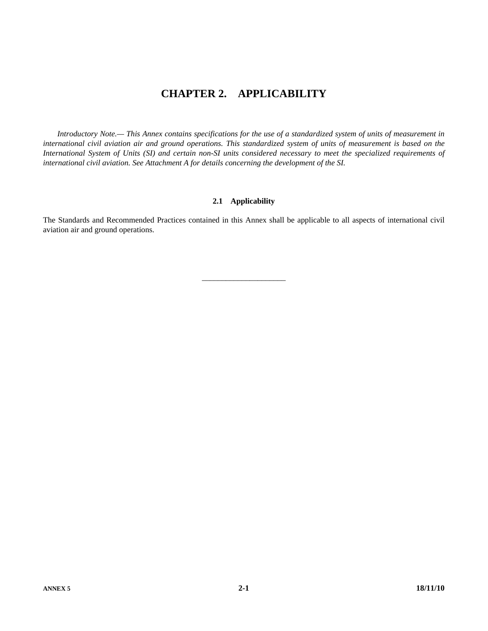# **CHAPTER 2. APPLICABILITY**

 *Introductory Note.— This Annex contains specifications for the use of a standardized system of units of measurement in international civil aviation air and ground operations. This standardized system of units of measurement is based on the International System of Units (SI) and certain non-SI units considered necessary to meet the specialized requirements of international civil aviation. See Attachment A for details concerning the development of the SI.* 

### **2.1 Applicability**

The Standards and Recommended Practices contained in this Annex shall be applicable to all aspects of international civil aviation air and ground operations.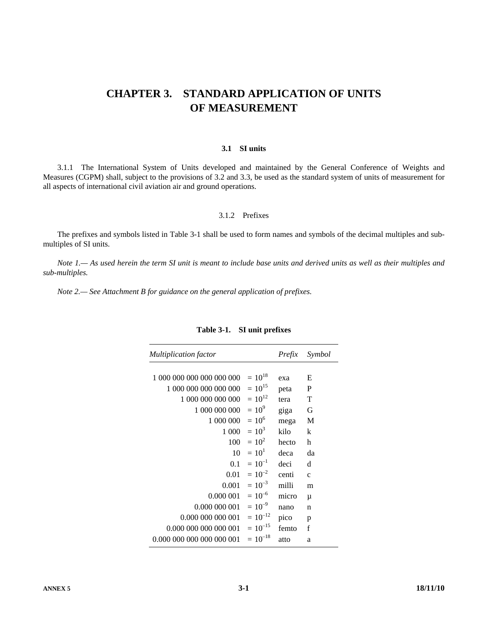# **CHAPTER 3. STANDARD APPLICATION OF UNITS** OF MEASUREMENT

#### 3.1 SI units

3.1.1 The International System of Units developed and maintained by the General Conference of Weights and Measures (CGPM) shall, subject to the provisions of 3.2 and 3.3, be used as the standard system of units of measurement for all aspects of international civil aviation air and ground operations.

### 3.1.2 Prefixes

The prefixes and symbols listed in Table 3-1 shall be used to form names and symbols of the decimal multiples and submultiples of SI units.

Note 1.— As used herein the term SI unit is meant to include base units and derived units as well as their multiples and sub-multiples.

Note 2.— See Attachment B for guidance on the general application of prefixes.

| <b>Multiplication factor</b> |              | Prefix | Symbol       |
|------------------------------|--------------|--------|--------------|
| 1 000 000 000 000 000 000    | $= 10^{18}$  | exa    | E            |
| 1 000 000 000 000 000        | $= 10^{15}$  | peta   | P            |
| 1 000 000 000 000            | $= 10^{12}$  | tera   | T            |
| 1 000 000 000                | $= 10^9$     | giga   | G            |
| 1 000 000                    | $= 10^6$     | mega   | М            |
| 1 000                        | $= 10^3$     | kilo   | k            |
| 100                          | $= 10^2$     | hecto  | h            |
| 10                           | $= 10^{1}$   | deca   | da           |
| 0.1                          | $= 10^{-1}$  | deci   | d            |
| 0.01                         | $= 10^{-2}$  | centi  | $\mathbf{C}$ |
| 0.001                        | $= 10^{-3}$  | milli  | m            |
| 0.000 001                    | $= 10^{-6}$  | micro  | μ            |
| 0.000 000 001                | $= 10^{-9}$  | nano   | n            |
| 0.000 000 000 001            | $= 10^{-12}$ | pico   | p            |
| 0.000 000 000 000 001        | $= 10^{-15}$ | femto  | f            |
| 0.000 000 000 000 000 001    | $= 10^{-18}$ | atto   | a            |

#### Table 3-1. SI unit prefixes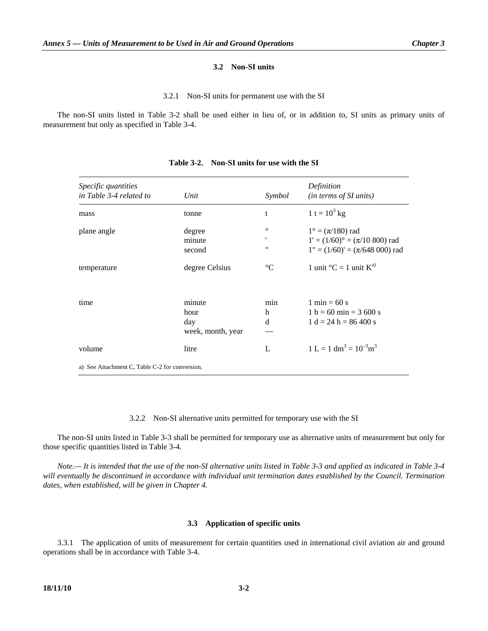#### **3.2 Non-SI units**

#### 3.2.1 Non-SI units for permanent use with the SI

 The non-SI units listed in Table 3-2 shall be used either in lieu of, or in addition to, SI units as primary units of measurement but only as specified in Table 3-4.

| Specific quantities<br>in Table 3-4 related to | Unit                                       | Symbol                            | Definition<br>(in terms of SI units)                                                                         |
|------------------------------------------------|--------------------------------------------|-----------------------------------|--------------------------------------------------------------------------------------------------------------|
| mass                                           | tonne                                      | t                                 | 1 t = $10^3$ kg                                                                                              |
| plane angle                                    | degree<br>minute<br>second                 | $\circ$<br>,<br>$^{\prime\prime}$ | $1^{\circ} = (\pi/180)$ rad<br>$1' = (1/60)$ ° = ( $\pi$ /10 800) rad<br>$1" = (1/60)' = (\pi/648\ 000)$ rad |
| temperature                                    | degree Celsius                             | $^{\circ}C$                       | 1 unit ${}^{\circ}C = 1$ unit $K^{a}$                                                                        |
| time                                           | minute<br>hour<br>day<br>week, month, year | min<br>h<br>d                     | 1 min $= 60$ s<br>$1 h = 60 min = 3600 s$<br>$1 d = 24 h = 86,400 s$                                         |
| volume                                         | litre                                      | L                                 | $1 L = 1 dm3 = 10-3 m3$                                                                                      |
| a) See Attachment C, Table C-2 for conversion. |                                            |                                   |                                                                                                              |

#### **Table 3-2. Non-SI units for use with the SI**

3.2.2 Non-SI alternative units permitted for temporary use with the SI

 The non-SI units listed in Table 3-3 shall be permitted for temporary use as alternative units of measurement but only for those specific quantities listed in Table 3-4.

 *Note.— It is intended that the use of the non-SI alternative units listed in Table 3-3 and applied as indicated in Table 3-4*  will eventually be discontinued in accordance with individual unit termination dates established by the Council. Termination *dates, when established, will be given in Chapter 4.* 

#### **3.3 Application of specific units**

 3.3.1 The application of units of measurement for certain quantities used in international civil aviation air and ground operations shall be in accordance with Table 3-4.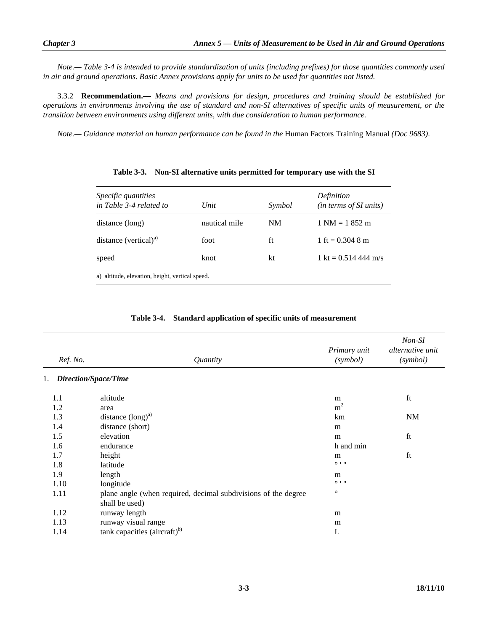*Note.— Table 3-4 is intended to provide standardization of units (including prefixes) for those quantities commonly used in air and ground operations. Basic Annex provisions apply for units to be used for quantities not listed.* 

 3.3.2 **Recommendation.—** *Means and provisions for design, procedures and training should be established for operations in environments involving the use of standard and non-SI alternatives of specific units of measurement, or the transition between environments using different units, with due consideration to human performance.* 

*Note.— Guidance material on human performance can be found in the* Human Factors Training Manual *(Doc 9683)*.

| <i>Specific quantities</i><br>in Table 3-4 related to | Unit          | Symbol | Definition<br>( <i>in terms of SI units</i> ) |
|-------------------------------------------------------|---------------|--------|-----------------------------------------------|
| distance (long)                                       | nautical mile | NM     | $1 \text{ NM} = 1852 \text{ m}$               |
| distance (vertical) $^{a)}$                           | foot          | ft     | 1 ft = $0.304$ 8 m                            |
| speed                                                 | knot          | kt     | 1 kt = $0.514$ 444 m/s                        |
| a) altitude, elevation, height, vertical speed.       |               |        |                                               |

**Table 3-3. Non-SI alternative units permitted for temporary use with the SI** 

|  | Table 3-4. Standard application of specific units of measurement |
|--|------------------------------------------------------------------|
|--|------------------------------------------------------------------|

| Ref. No. | Quantity                                                                         | Primary unit<br>(symbol) | Non-SI<br>alternative unit<br>(symbol) |
|----------|----------------------------------------------------------------------------------|--------------------------|----------------------------------------|
| 1.       | Direction/Space/Time                                                             |                          |                                        |
| 1.1      | altitude                                                                         | m                        | ft                                     |
| 1.2      | area                                                                             | m <sup>2</sup>           |                                        |
| 1.3      | distance $(long)^{a)}$                                                           | km                       | <b>NM</b>                              |
| 1.4      | distance (short)                                                                 | m                        |                                        |
| 1.5      | elevation                                                                        | m                        | ft                                     |
| 1.6      | endurance                                                                        | h and min                |                                        |
| 1.7      | height                                                                           | m                        | ft                                     |
| 1.8      | latitude                                                                         | $0$ $1$ $11$             |                                        |
| 1.9      | length                                                                           | m                        |                                        |
| 1.10     | longitude                                                                        | $0$ $1$ $11$             |                                        |
| 1.11     | plane angle (when required, decimal subdivisions of the degree<br>shall be used) | $\circ$                  |                                        |
| 1.12     | runway length                                                                    | m                        |                                        |
| 1.13     | runway visual range                                                              | m                        |                                        |
| 1.14     | tank capacities (aircraft) $^{b)}$                                               | L                        |                                        |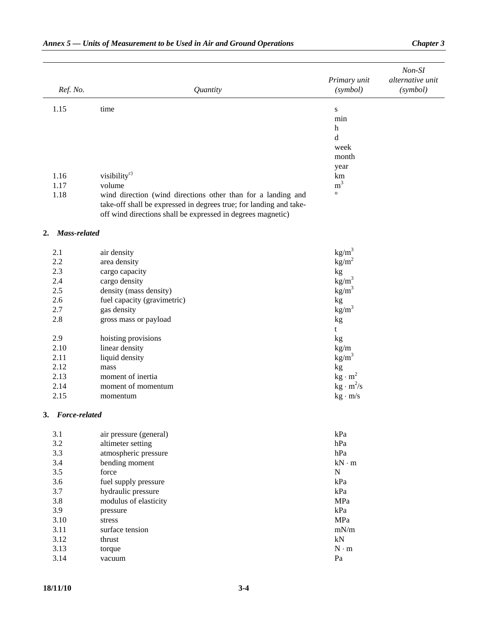|                     |                                                                                                                                   |                                    | Non-SI                       |
|---------------------|-----------------------------------------------------------------------------------------------------------------------------------|------------------------------------|------------------------------|
| Ref. No.            | Quantity                                                                                                                          | Primary unit<br>(symbol)           | alternative unit<br>(symbol) |
| 1.15                | time                                                                                                                              | ${\bf S}$                          |                              |
|                     |                                                                                                                                   | min                                |                              |
|                     |                                                                                                                                   | h                                  |                              |
|                     |                                                                                                                                   | d                                  |                              |
|                     |                                                                                                                                   | week                               |                              |
|                     |                                                                                                                                   | month                              |                              |
|                     |                                                                                                                                   | year                               |                              |
| 1.16                | visibility <sup>c)</sup>                                                                                                          | km                                 |                              |
| 1.17                | volume                                                                                                                            | m <sup>3</sup><br>$\circ$          |                              |
| 1.18                | wind direction (wind directions other than for a landing and                                                                      |                                    |                              |
|                     | take-off shall be expressed in degrees true; for landing and take-<br>off wind directions shall be expressed in degrees magnetic) |                                    |                              |
| Mass-related<br>2.  |                                                                                                                                   |                                    |                              |
| 2.1                 | air density                                                                                                                       | $\text{kg/m}^3$                    |                              |
| 2.2                 | area density                                                                                                                      | kg/m <sup>2</sup>                  |                              |
| 2.3                 | cargo capacity                                                                                                                    | kg                                 |                              |
| 2.4                 | cargo density                                                                                                                     | $\text{kg/m}^3$                    |                              |
| 2.5                 | density (mass density)                                                                                                            | $\text{kg/m}^3$                    |                              |
| 2.6                 | fuel capacity (gravimetric)                                                                                                       | kg                                 |                              |
| 2.7                 | gas density                                                                                                                       | $\text{kg/m}^3$                    |                              |
| 2.8                 | gross mass or payload                                                                                                             | kg                                 |                              |
|                     |                                                                                                                                   | t                                  |                              |
| 2.9                 | hoisting provisions                                                                                                               | kg                                 |                              |
| 2.10                | linear density                                                                                                                    | kg/m                               |                              |
| 2.11                | liquid density                                                                                                                    | $\text{kg/m}^3$                    |                              |
| 2.12                | mass                                                                                                                              | kg                                 |                              |
| 2.13                | moment of inertia                                                                                                                 | $kg \cdot m^2$                     |                              |
| 2.14<br>2.15        | moment of momentum                                                                                                                | $kg \cdot m^2/s$<br>$kg \cdot m/s$ |                              |
|                     | momentum                                                                                                                          |                                    |                              |
| Force-related<br>3. |                                                                                                                                   |                                    |                              |
| 3.1                 | air pressure (general)                                                                                                            | kPa                                |                              |
| 3.2                 | altimeter setting                                                                                                                 | hPa                                |                              |
| 3.3                 | atmospheric pressure                                                                                                              | hPa                                |                              |
| 3.4                 | bending moment                                                                                                                    | $kN \cdot m$                       |                              |
| 3.5                 | force                                                                                                                             | ${\bf N}$                          |                              |
| 3.6                 | fuel supply pressure                                                                                                              | kPa                                |                              |
| 3.7                 | hydraulic pressure                                                                                                                | kPa                                |                              |
| 3.8                 | modulus of elasticity                                                                                                             | MPa                                |                              |
| 3.9                 | pressure                                                                                                                          | kPa                                |                              |
| 3.10                | stress                                                                                                                            | MPa                                |                              |
| 3.11                | surface tension                                                                                                                   | mN/m                               |                              |
| 3.12                | thrust                                                                                                                            | $kN$                               |                              |
| 3.13<br>3.14        | torque                                                                                                                            | $N\cdot m$<br>Pa                   |                              |
|                     | vacuum                                                                                                                            |                                    |                              |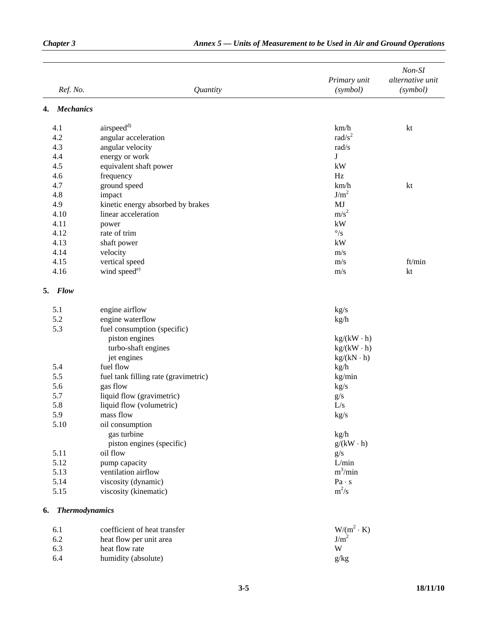|    | Ref. No.          | Quantity                             | Primary unit<br>(symbol) | $Non-SI$<br>alternative unit<br>(symbol) |
|----|-------------------|--------------------------------------|--------------------------|------------------------------------------|
| 4. | <b>Mechanics</b>  |                                      |                          |                                          |
|    | 4.1               | airspeed <sup>d)</sup>               | km/h                     | kt                                       |
|    | 4.2               | angular acceleration                 | rad/ $s^2$               |                                          |
|    | 4.3               | angular velocity                     | rad/s                    |                                          |
|    | 4.4               | energy or work                       | J                        |                                          |
|    | 4.5               | equivalent shaft power               | kW                       |                                          |
|    | 4.6               | frequency                            | Hz                       |                                          |
|    | 4.7               | ground speed                         | km/h                     | kt                                       |
|    | 4.8               | impact                               | J/m <sup>2</sup>         |                                          |
|    | 4.9               | kinetic energy absorbed by brakes    | MJ                       |                                          |
|    | 4.10              | linear acceleration                  | $m/s^2$                  |                                          |
|    | 4.11              | power                                | kW                       |                                          |
|    | 4.12              | rate of trim                         | $^{\circ}/\mathrm{s}$    |                                          |
|    | 4.13              | shaft power                          | kW                       |                                          |
|    | 4.14              | velocity                             | m/s                      |                                          |
|    | 4.15              | vertical speed                       | m/s                      | ft/min                                   |
|    | 4.16              | wind speed <sup>e)</sup>             | m/s                      | kt                                       |
|    | 5. Flow           |                                      |                          |                                          |
|    | 5.1               | engine airflow                       | kg/s                     |                                          |
|    | 5.2               | engine waterflow                     | kg/h                     |                                          |
|    | 5.3               | fuel consumption (specific)          |                          |                                          |
|    |                   | piston engines                       | $kg/(kW \cdot h)$        |                                          |
|    |                   | turbo-shaft engines                  | $kg/(kW \cdot h)$        |                                          |
|    |                   | jet engines                          | $kg/(kN \cdot h)$        |                                          |
|    | 5.4               | fuel flow                            | kg/h                     |                                          |
|    | 5.5               | fuel tank filling rate (gravimetric) | kg/min                   |                                          |
|    | 5.6               | gas flow                             | kg/s                     |                                          |
|    | 5.7               | liquid flow (gravimetric)            | g/s                      |                                          |
|    | 5.8               | liquid flow (volumetric)             | L/s                      |                                          |
|    | 5.9               | mass flow                            | kg/s                     |                                          |
|    | 5.10              | oil consumption                      |                          |                                          |
|    |                   | gas turbine                          | kg/h                     |                                          |
|    |                   | piston engines (specific)            | $g/(kW \cdot h)$         |                                          |
|    | 5.11              | oil flow                             | g/s                      |                                          |
|    | 5.12              | pump capacity                        | L/min                    |                                          |
|    | 5.13              | ventilation airflow                  | $m^3/min$                |                                          |
|    | 5.14              | viscosity (dynamic)                  | Pa·s                     |                                          |
|    | 5.15              | viscosity (kinematic)                | $m^2/s$                  |                                          |
|    | 6. Thermodynamics |                                      |                          |                                          |
|    | 6.1               | coefficient of heat transfer         | $W/(m^2 \cdot K)$        |                                          |
|    | 6.2               | heat flow per unit area              | J/m <sup>2</sup>         |                                          |
|    | 6.3               | heat flow rate                       | W                        |                                          |
|    | 6.4               | humidity (absolute)                  | g/kg                     |                                          |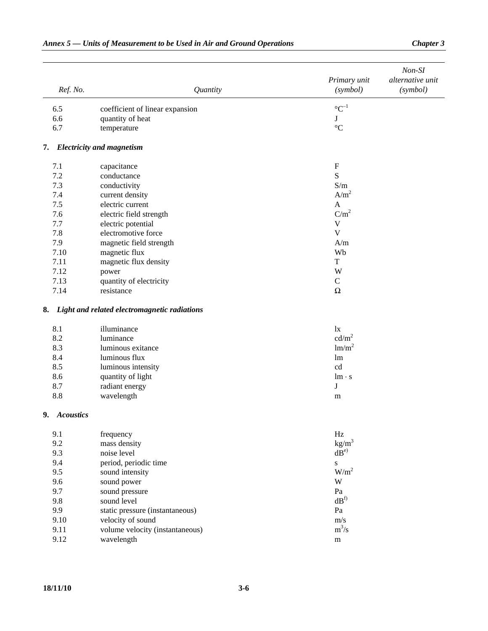| Ref. No.     | Quantity                                        | Primary unit<br>(symbol) | $Non-SI$<br>alternative unit<br>(symbol) |
|--------------|-------------------------------------------------|--------------------------|------------------------------------------|
|              |                                                 |                          |                                          |
| 6.5          | coefficient of linear expansion                 | $\mathrm{C}^{-1}$        |                                          |
| 6.6          | quantity of heat                                | J                        |                                          |
| 6.7          | temperature                                     | $\rm ^{\circ}C$          |                                          |
|              | 7. Electricity and magnetism                    |                          |                                          |
| 7.1          | capacitance                                     | ${\bf F}$                |                                          |
| 7.2          | conductance                                     | S                        |                                          |
| 7.3          | conductivity                                    | S/m                      |                                          |
| 7.4          | current density                                 | A/m <sup>2</sup>         |                                          |
| 7.5          | electric current                                | $\mathbf{A}$             |                                          |
| 7.6          | electric field strength                         | C/m <sup>2</sup>         |                                          |
| 7.7          | electric potential                              | $\mathbf V$              |                                          |
| 7.8          | electromotive force                             | $\mathbf V$              |                                          |
| 7.9          | magnetic field strength                         | A/m                      |                                          |
| 7.10         | magnetic flux                                   | Wb                       |                                          |
| 7.11         | magnetic flux density                           | $\mathbf T$              |                                          |
| 7.12         | power                                           | W                        |                                          |
| 7.13         | quantity of electricity                         | $\mathbf C$              |                                          |
| 7.14         | resistance                                      | $\Omega$                 |                                          |
|              | 8. Light and related electromagnetic radiations |                          |                                          |
| 8.1          | illuminance                                     | $\mathbf{I}$             |                                          |
| 8.2          | luminance                                       | cd/m <sup>2</sup>        |                                          |
| 8.3          | luminous exitance                               | lm/m <sup>2</sup>        |                                          |
| 8.4          | luminous flux                                   | lm                       |                                          |
| 8.5          | luminous intensity                              | cd                       |                                          |
| 8.6          | quantity of light                               | $lm \cdot s$             |                                          |
| 8.7          | radiant energy                                  | J                        |                                          |
| 8.8          | wavelength                                      | m                        |                                          |
| 9. Acoustics |                                                 |                          |                                          |
| 9.1          | frequency                                       | Hz                       |                                          |
| 9.2          | mass density                                    | kg/m <sup>3</sup>        |                                          |
| 9.3          | noise level                                     | $dB^{e}$                 |                                          |
| 9.4          | period, periodic time                           | ${\bf S}$                |                                          |
| 9.5          | sound intensity                                 | $W/m^2$                  |                                          |
| 9.6          | sound power                                     | $\ensuremath{\text{W}}$  |                                          |
| 9.7          | sound pressure                                  | Pa                       |                                          |
| 9.8          | sound level                                     | dB <sup>f</sup>          |                                          |
| 9.9          | static pressure (instantaneous)                 | Pa                       |                                          |
| 9.10         | velocity of sound                               | m/s                      |                                          |
| 9.11         | volume velocity (instantaneous)                 | $m^3/s$                  |                                          |
| 9.12         | wavelength                                      | ${\bf m}$                |                                          |
|              |                                                 |                          |                                          |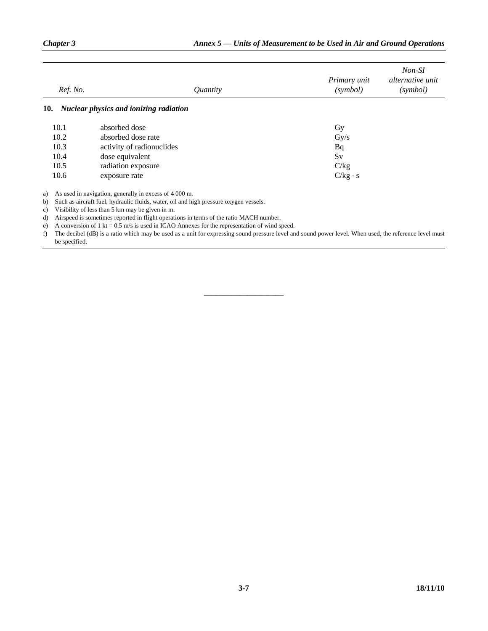| Ref. No. | <i><u>Ouantity</u></i>                        | Primary unit<br>(symbol) | Non-SI<br><i>alternative unit</i><br>(symbol) |
|----------|-----------------------------------------------|--------------------------|-----------------------------------------------|
| 10.      | <b>Nuclear physics and ionizing radiation</b> |                          |                                               |
| 10.1     | absorbed dose                                 | Gy                       |                                               |
| 10.2     | absorbed dose rate                            | $\rm Gy/s$               |                                               |
| 10.3     | activity of radionuclides                     | Bq                       |                                               |
| 10.4     | dose equivalent                               | Sv                       |                                               |
| 10.5     | radiation exposure                            | C/kg                     |                                               |
| 10.6     | exposure rate                                 | $C/kg \cdot s$           |                                               |

a) As used in navigation, generally in excess of 4 000 m.

b) Such as aircraft fuel, hydraulic fluids, water, oil and high pressure oxygen vessels.

c) Visibility of less than 5 km may be given in m.

d) Airspeed is sometimes reported in flight operations in terms of the ratio MACH number.

e) A conversion of 1 kt =  $0.5$  m/s is used in ICAO Annexes for the representation of wind speed.

f) The decibel (dB) is a ratio which may be used as a unit for expressing sound pressure level and sound power level. When used, the reference level must be specified.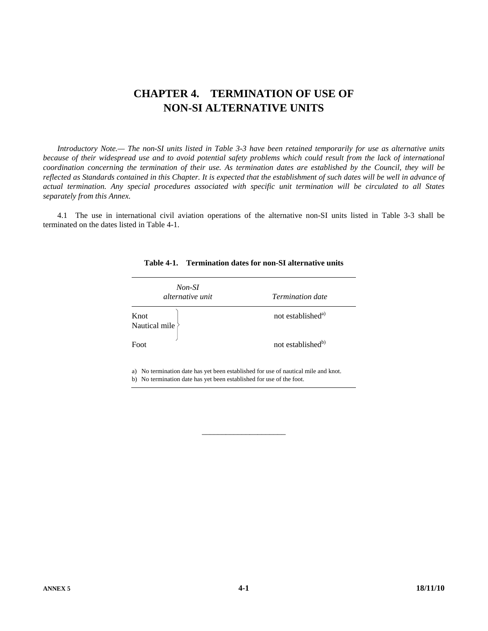# **CHAPTER 4. TERMINATION OF USE OF NON-SI ALTERNATIVE UNITS**

 *Introductory Note.— The non-SI units listed in Table 3-3 have been retained temporarily for use as alternative units because of their widespread use and to avoid potential safety problems which could result from the lack of international coordination concerning the termination of their use. As termination dates are established by the Council, they will be*  reflected as Standards contained in this Chapter. It is expected that the establishment of such dates will be well in advance of *actual termination. Any special procedures associated with specific unit termination will be circulated to all States separately from this Annex.* 

 4.1 The use in international civil aviation operations of the alternative non-SI units listed in Table 3-3 shall be terminated on the dates listed in Table 4-1.

| Non-SI<br><i>alternative unit</i> | <b>Termination date</b>       |
|-----------------------------------|-------------------------------|
| Knot<br>Nautical mile             | not established <sup>a)</sup> |
| Foot                              | not established <sup>b)</sup> |

#### **Table 4-1. Termination dates for non-SI alternative units**

a) No termination date has yet been established for use of nautical mile and knot. b) No termination date has yet been established for use of the foot.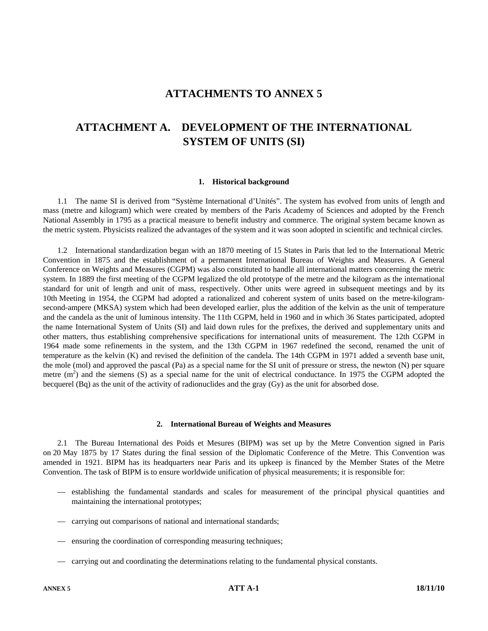## **ATTACHMENTS TO ANNEX 5**

# **ATTACHMENT A. DEVELOPMENT OF THE INTERNATIONAL SYSTEM OF UNITS (SI)**

#### **1. Historical background**

 1.1 The name SI is derived from "Système International d'Unités". The system has evolved from units of length and mass (metre and kilogram) which were created by members of the Paris Academy of Sciences and adopted by the French National Assembly in 1795 as a practical measure to benefit industry and commerce. The original system became known as the metric system. Physicists realized the advantages of the system and it was soon adopted in scientific and technical circles.

 1.2 International standardization began with an 1870 meeting of 15 States in Paris that led to the International Metric Convention in 1875 and the establishment of a permanent International Bureau of Weights and Measures. A General Conference on Weights and Measures (CGPM) was also constituted to handle all international matters concerning the metric system. In 1889 the first meeting of the CGPM legalized the old prototype of the metre and the kilogram as the international standard for unit of length and unit of mass, respectively. Other units were agreed in subsequent meetings and by its 10th Meeting in 1954, the CGPM had adopted a rationalized and coherent system of units based on the metre-kilogramsecond-ampere (MKSA) system which had been developed earlier, plus the addition of the kelvin as the unit of temperature and the candela as the unit of luminous intensity. The 11th CGPM, held in 1960 and in which 36 States participated, adopted the name International System of Units (SI) and laid down rules for the prefixes, the derived and supplementary units and other matters, thus establishing comprehensive specifications for international units of measurement. The 12th CGPM in 1964 made some refinements in the system, and the 13th CGPM in 1967 redefined the second, renamed the unit of temperature as the kelvin (K) and revised the definition of the candela. The 14th CGPM in 1971 added a seventh base unit, the mole (mol) and approved the pascal (Pa) as a special name for the SI unit of pressure or stress, the newton (N) per square metre  $(m<sup>2</sup>)$  and the siemens (S) as a special name for the unit of electrical conductance. In 1975 the CGPM adopted the becquerel (Bq) as the unit of the activity of radionuclides and the gray (Gy) as the unit for absorbed dose.

#### **2. International Bureau of Weights and Measures**

 2.1 The Bureau International des Poids et Mesures (BIPM) was set up by the Metre Convention signed in Paris on 20 May 1875 by 17 States during the final session of the Diplomatic Conference of the Metre. This Convention was amended in 1921. BIPM has its headquarters near Paris and its upkeep is financed by the Member States of the Metre Convention. The task of BIPM is to ensure worldwide unification of physical measurements; it is responsible for:

- establishing the fundamental standards and scales for measurement of the principal physical quantities and maintaining the international prototypes;
- carrying out comparisons of national and international standards;
- ensuring the coordination of corresponding measuring techniques;
- carrying out and coordinating the determinations relating to the fundamental physical constants.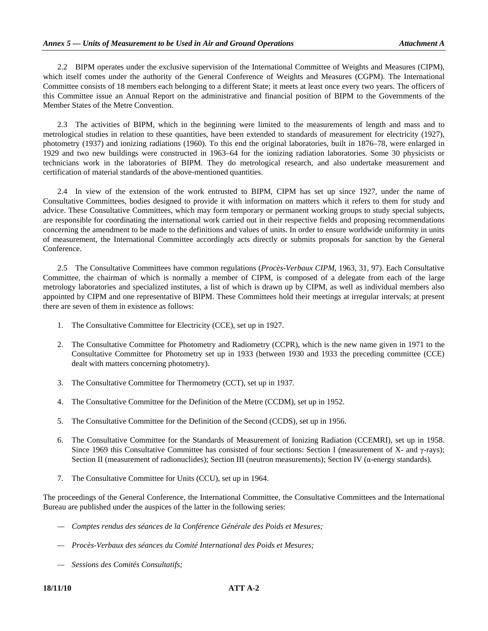2.2 BIPM operates under the exclusive supervision of the International Committee of Weights and Measures (CIPM), which itself comes under the authority of the General Conference of Weights and Measures (CGPM). The International Committee consists of 18 members each belonging to a different State; it meets at least once every two years. The officers of this Committee issue an Annual Report on the administrative and financial position of BIPM to the Governments of the Member States of the Metre Convention.

 2.3 The activities of BIPM, which in the beginning were limited to the measurements of length and mass and to metrological studies in relation to these quantities, have been extended to standards of measurement for electricity (1927), photometry (1937) and ionizing radiations (1960). To this end the original laboratories, built in 1876–78, were enlarged in 1929 and two new buildings were constructed in 1963–64 for the ionizing radiation laboratories. Some 30 physicists or technicians work in the laboratories of BIPM. They do metrological research, and also undertake measurement and certification of material standards of the above-mentioned quantities.

 2.4 In view of the extension of the work entrusted to BIPM, CIPM has set up since 1927, under the name of Consultative Committees, bodies designed to provide it with information on matters which it refers to them for study and advice. These Consultative Committees, which may form temporary or permanent working groups to study special subjects, are responsible for coordinating the international work carried out in their respective fields and proposing recommendations concerning the amendment to be made to the definitions and values of units. In order to ensure worldwide uniformity in units of measurement, the International Committee accordingly acts directly or submits proposals for sanction by the General Conference.

 2.5 The Consultative Committees have common regulations (*Procès-Verbaux CIPM*, 1963, 31, 97). Each Consultative Committee, the chairman of which is normally a member of CIPM, is composed of a delegate from each of the large metrology laboratories and specialized institutes, a list of which is drawn up by CIPM, as well as individual members also appointed by CIPM and one representative of BIPM. These Committees hold their meetings at irregular intervals; at present there are seven of them in existence as follows:

- 1. The Consultative Committee for Electricity (CCE), set up in 1927.
- 2. The Consultative Committee for Photometry and Radiometry (CCPR), which is the new name given in 1971 to the Consultative Committee for Photometry set up in 1933 (between 1930 and 1933 the preceding committee (CCE) dealt with matters concerning photometry).
- 3. The Consultative Committee for Thermometry (CCT), set up in 1937.
- 4. The Consultative Committee for the Definition of the Metre (CCDM), set up in 1952.
- 5. The Consultative Committee for the Definition of the Second (CCDS), set up in 1956.
- 6. The Consultative Committee for the Standards of Measurement of Ionizing Radiation (CCEMRI), set up in 1958. Since 1969 this Consultative Committee has consisted of four sections: Section I (measurement of X- and γ-rays); Section II (measurement of radionuclides); Section III (neutron measurements); Section IV (α-energy standards).
- 7. The Consultative Committee for Units (CCU), set up in 1964.

The proceedings of the General Conference, the International Committee, the Consultative Committees and the International Bureau are published under the auspices of the latter in the following series:

- *Comptes rendus des séances de la Conférence Générale des Poids et Mesures;*
- *Procès-Verbaux des séances du Comité International des Poids et Mesures;*
- *Sessions des Comités Consultatifs;*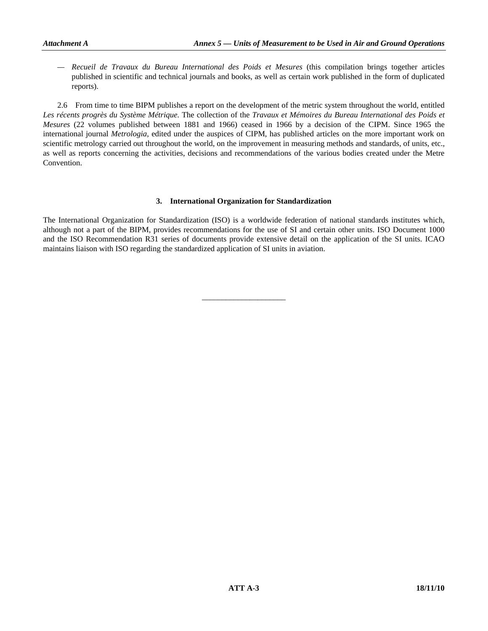*— Recueil de Travaux du Bureau International des Poids et Mesures* (this compilation brings together articles published in scientific and technical journals and books, as well as certain work published in the form of duplicated reports).

 2.6 From time to time BIPM publishes a report on the development of the metric system throughout the world, entitled *Les récents progrès du Système Métrique.* The collection of the *Travaux et Mémoires du Bureau International des Poids et Mesures* (22 volumes published between 1881 and 1966) ceased in 1966 by a decision of the CIPM. Since 1965 the international journal *Metrologia*, edited under the auspices of CIPM, has published articles on the more important work on scientific metrology carried out throughout the world, on the improvement in measuring methods and standards, of units, etc., as well as reports concerning the activities, decisions and recommendations of the various bodies created under the Metre Convention.

#### **3. International Organization for Standardization**

The International Organization for Standardization (ISO) is a worldwide federation of national standards institutes which, although not a part of the BIPM, provides recommendations for the use of SI and certain other units. ISO Document 1000 and the ISO Recommendation R31 series of documents provide extensive detail on the application of the SI units. ICAO maintains liaison with ISO regarding the standardized application of SI units in aviation.

\_\_\_\_\_\_\_\_\_\_\_\_\_\_\_\_\_\_\_\_\_

 **ATT A-3** 18/11/10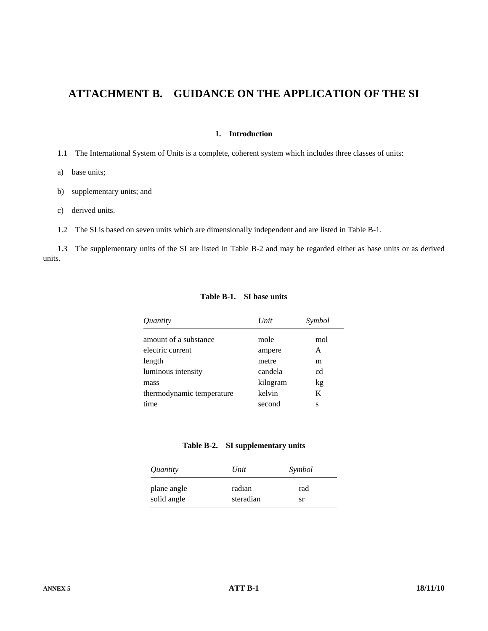# **ATTACHMENT B. GUIDANCE ON THE APPLICATION OF THE SI**

#### **1. Introduction**

1.1 The International System of Units is a complete, coherent system which includes three classes of units:

- a) base units;
- b) supplementary units; and
- c) derived units.
- 1.2 The SI is based on seven units which are dimensionally independent and are listed in Table B-1.

 1.3 The supplementary units of the SI are listed in Table B-2 and may be regarded either as base units or as derived units.

| <i>Ouantity</i>           | Unit     | Symbol |
|---------------------------|----------|--------|
| amount of a substance     | mole     | mol    |
| electric current          | ampere   | A      |
| length                    | metre    | m      |
| luminous intensity        | candela  | cd     |
| mass                      | kilogram | kg     |
| thermodynamic temperature | kelvin   | K      |
| time                      | second   | S      |
|                           |          |        |

**Table B-1. SI base units** 

| Table B-2. | SI supplementary units |  |
|------------|------------------------|--|
|------------|------------------------|--|

| Quantity    | Unit      | Symbol |
|-------------|-----------|--------|
| plane angle | radian    | rad    |
| solid angle | steradian | sr     |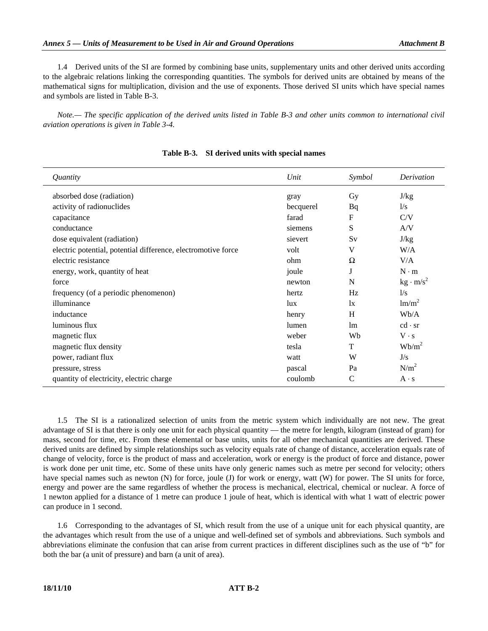1.4 Derived units of the SI are formed by combining base units, supplementary units and other derived units according to the algebraic relations linking the corresponding quantities. The symbols for derived units are obtained by means of the mathematical signs for multiplication, division and the use of exponents. Those derived SI units which have special names and symbols are listed in Table B-3.

 *Note.— The specific application of the derived units listed in Table B-3 and other units common to international civil aviation operations is given in Table 3-4.* 

| Unit      | Symbol      | Derivation                     |
|-----------|-------------|--------------------------------|
| gray      | Gy          | J/kg                           |
| becquerel | Bq          | 1/s                            |
| farad     | $\mathbf F$ | C/V                            |
| siemens   | S           | A/V                            |
| sievert   | Sv          | J/kg                           |
| volt      | V           | W/A                            |
| ohm       | Ω           | V/A                            |
| joule     |             | $N \cdot m$                    |
| newton    | N           | $\text{kg} \cdot \text{m/s}^2$ |
| hertz     | Hz          | 1/s                            |
| lux       | 1x          | lm/m <sup>2</sup>              |
| henry     | H           | Wb/A                           |
| lumen     | lm          | $cd \cdot sr$                  |
| weber     | Wb          | $V \cdot s$                    |
| tesla     | T           | $Wb/m^2$                       |
| watt      | W           | J/s                            |
| pascal    | Pa          | N/m <sup>2</sup>               |
| coulomb   | C           | $A \cdot s$                    |
|           |             |                                |

#### **Table B-3. SI derived units with special names**

 1.5 The SI is a rationalized selection of units from the metric system which individually are not new. The great advantage of SI is that there is only one unit for each physical quantity — the metre for length, kilogram (instead of gram) for mass, second for time, etc. From these elemental or base units, units for all other mechanical quantities are derived. These derived units are defined by simple relationships such as velocity equals rate of change of distance, acceleration equals rate of change of velocity, force is the product of mass and acceleration, work or energy is the product of force and distance, power is work done per unit time, etc. Some of these units have only generic names such as metre per second for velocity; others have special names such as newton (N) for force, joule (J) for work or energy, watt (W) for power. The SI units for force, energy and power are the same regardless of whether the process is mechanical, electrical, chemical or nuclear. A force of 1 newton applied for a distance of 1 metre can produce 1 joule of heat, which is identical with what 1 watt of electric power can produce in 1 second.

 1.6 Corresponding to the advantages of SI, which result from the use of a unique unit for each physical quantity, are the advantages which result from the use of a unique and well-defined set of symbols and abbreviations. Such symbols and abbreviations eliminate the confusion that can arise from current practices in different disciplines such as the use of "b" for both the bar (a unit of pressure) and barn (a unit of area).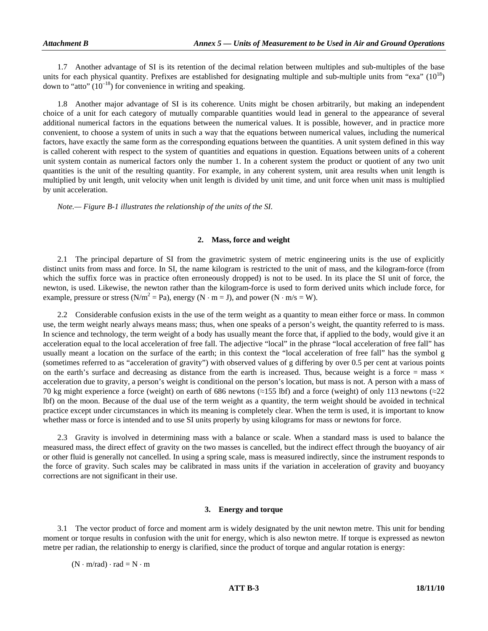1.7 Another advantage of SI is its retention of the decimal relation between multiples and sub-multiples of the base units for each physical quantity. Prefixes are established for designating multiple and sub-multiple units from "exa"  $(10^{18})$ down to "atto"  $(10^{-18})$  for convenience in writing and speaking.

 1.8 Another major advantage of SI is its coherence. Units might be chosen arbitrarily, but making an independent choice of a unit for each category of mutually comparable quantities would lead in general to the appearance of several additional numerical factors in the equations between the numerical values. It is possible, however, and in practice more convenient, to choose a system of units in such a way that the equations between numerical values, including the numerical factors, have exactly the same form as the corresponding equations between the quantities. A unit system defined in this way is called coherent with respect to the system of quantities and equations in question. Equations between units of a coherent unit system contain as numerical factors only the number 1. In a coherent system the product or quotient of any two unit quantities is the unit of the resulting quantity. For example, in any coherent system, unit area results when unit length is multiplied by unit length, unit velocity when unit length is divided by unit time, and unit force when unit mass is multiplied by unit acceleration.

 *Note.— Figure B-1 illustrates the relationship of the units of the SI.* 

#### **2. Mass, force and weight**

 2.1 The principal departure of SI from the gravimetric system of metric engineering units is the use of explicitly distinct units from mass and force. In SI, the name kilogram is restricted to the unit of mass, and the kilogram-force (from which the suffix force was in practice often erroneously dropped) is not to be used. In its place the SI unit of force, the newton, is used. Likewise, the newton rather than the kilogram-force is used to form derived units which include force, for example, pressure or stress ( $N/m^2 = Pa$ ), energy ( $N \cdot m = J$ ), and power ( $N \cdot m/s = W$ ).

 2.2 Considerable confusion exists in the use of the term weight as a quantity to mean either force or mass. In common use, the term weight nearly always means mass; thus, when one speaks of a person's weight, the quantity referred to is mass. In science and technology, the term weight of a body has usually meant the force that, if applied to the body, would give it an acceleration equal to the local acceleration of free fall. The adjective "local" in the phrase "local acceleration of free fall" has usually meant a location on the surface of the earth; in this context the "local acceleration of free fall" has the symbol g (sometimes referred to as "acceleration of gravity") with observed values of g differing by over 0.5 per cent at various points on the earth's surface and decreasing as distance from the earth is increased. Thus, because weight is a force  $=$  mass  $\times$ acceleration due to gravity, a person's weight is conditional on the person's location, but mass is not. A person with a mass of 70 kg might experience a force (weight) on earth of 686 newtons (≈155 lbf) and a force (weight) of only 113 newtons (≈22 lbf) on the moon. Because of the dual use of the term weight as a quantity, the term weight should be avoided in technical practice except under circumstances in which its meaning is completely clear. When the term is used, it is important to know whether mass or force is intended and to use SI units properly by using kilograms for mass or newtons for force.

 2.3 Gravity is involved in determining mass with a balance or scale. When a standard mass is used to balance the measured mass, the direct effect of gravity on the two masses is cancelled, but the indirect effect through the buoyancy of air or other fluid is generally not cancelled. In using a spring scale, mass is measured indirectly, since the instrument responds to the force of gravity. Such scales may be calibrated in mass units if the variation in acceleration of gravity and buoyancy corrections are not significant in their use.

#### **3. Energy and torque**

 3.1 The vector product of force and moment arm is widely designated by the unit newton metre. This unit for bending moment or torque results in confusion with the unit for energy, which is also newton metre. If torque is expressed as newton metre per radian, the relationship to energy is clarified, since the product of torque and angular rotation is energy:

 $(N \cdot m/rad) \cdot rad = N \cdot m$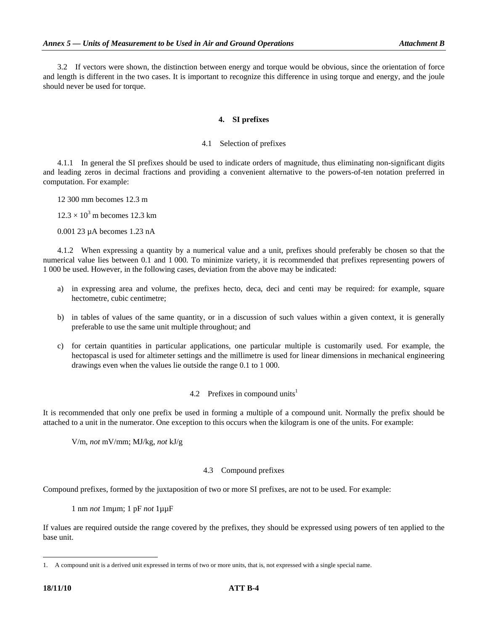3.2 If vectors were shown, the distinction between energy and torque would be obvious, since the orientation of force and length is different in the two cases. It is important to recognize this difference in using torque and energy, and the joule should never be used for torque.

#### **4. SI prefixes**

#### 4.1 Selection of prefixes

 4.1.1 In general the SI prefixes should be used to indicate orders of magnitude, thus eliminating non-significant digits and leading zeros in decimal fractions and providing a convenient alternative to the powers-of-ten notation preferred in computation. For example:

12 300 mm becomes 12.3 m

 $12.3 \times 10^3$  m becomes 12.3 km

0.001 23 µA becomes 1.23 nA

 4.1.2 When expressing a quantity by a numerical value and a unit, prefixes should preferably be chosen so that the numerical value lies between 0.1 and 1 000. To minimize variety, it is recommended that prefixes representing powers of 1 000 be used. However, in the following cases, deviation from the above may be indicated:

- a) in expressing area and volume, the prefixes hecto, deca, deci and centi may be required: for example, square hectometre, cubic centimetre;
- b) in tables of values of the same quantity, or in a discussion of such values within a given context, it is generally preferable to use the same unit multiple throughout; and
- c) for certain quantities in particular applications, one particular multiple is customarily used. For example, the hectopascal is used for altimeter settings and the millimetre is used for linear dimensions in mechanical engineering drawings even when the values lie outside the range 0.1 to 1 000.

#### 4.2 Prefixes in compound units<sup>1</sup>

It is recommended that only one prefix be used in forming a multiple of a compound unit. Normally the prefix should be attached to a unit in the numerator. One exception to this occurs when the kilogram is one of the units. For example:

V/m, *not* mV/mm; MJ/kg, *not* kJ/g

#### 4.3 Compound prefixes

Compound prefixes, formed by the juxtaposition of two or more SI prefixes, are not to be used. For example:

1 nm *not* 1mµm; 1 pF *not* 1µµF

If values are required outside the range covered by the prefixes, they should be expressed using powers of ten applied to the base unit.

-

<sup>1.</sup> A compound unit is a derived unit expressed in terms of two or more units, that is, not expressed with a single special name.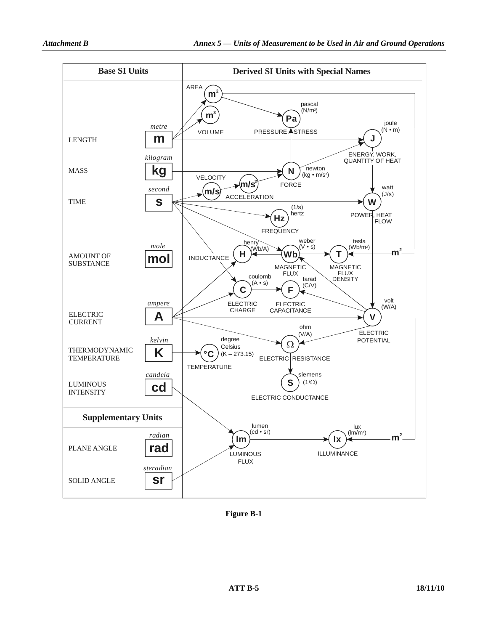

**Figure B-1**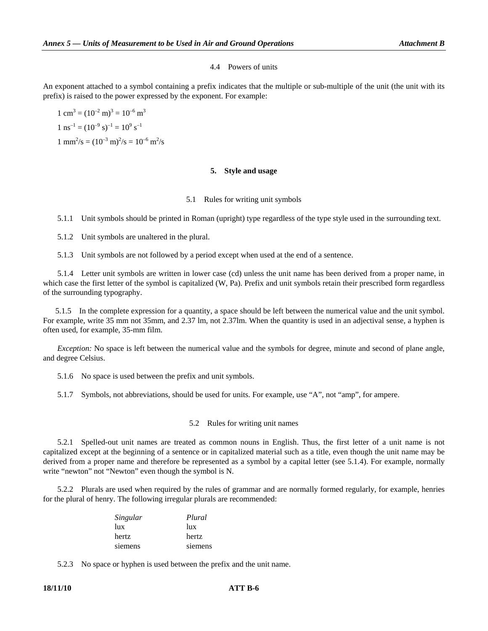#### 4.4 Powers of units

An exponent attached to a symbol containing a prefix indicates that the multiple or sub-multiple of the unit (the unit with its prefix) is raised to the power expressed by the exponent. For example:

 $1 \text{ cm}^3 = (10^{-2} \text{ m})^3 = 10^{-6} \text{ m}^3$  $1 \text{ ns}^{-1} = (10^{-9} \text{ s})^{-1} = 10^{9} \text{ s}^{-1}$  $1 \text{ mm}^2/\text{s} = (10^{-3} \text{ m})^2/\text{s} = 10^{-6} \text{ m}^2/\text{s}$ 

#### **5. Style and usage**

#### 5.1 Rules for writing unit symbols

5.1.1 Unit symbols should be printed in Roman (upright) type regardless of the type style used in the surrounding text.

5.1.2 Unit symbols are unaltered in the plural.

5.1.3 Unit symbols are not followed by a period except when used at the end of a sentence.

 5.1.4 Letter unit symbols are written in lower case (cd) unless the unit name has been derived from a proper name, in which case the first letter of the symbol is capitalized (W, Pa). Prefix and unit symbols retain their prescribed form regardless of the surrounding typography.

 5.1.5 In the complete expression for a quantity, a space should be left between the numerical value and the unit symbol. For example, write 35 mm not 35mm, and 2.37 lm, not 2.37lm. When the quantity is used in an adjectival sense, a hyphen is often used, for example, 35-mm film.

*Exception:* No space is left between the numerical value and the symbols for degree, minute and second of plane angle, and degree Celsius.

5.1.6 No space is used between the prefix and unit symbols.

5.1.7 Symbols, not abbreviations, should be used for units. For example, use "A", not "amp", for ampere.

#### 5.2 Rules for writing unit names

 5.2.1 Spelled-out unit names are treated as common nouns in English. Thus, the first letter of a unit name is not capitalized except at the beginning of a sentence or in capitalized material such as a title, even though the unit name may be derived from a proper name and therefore be represented as a symbol by a capital letter (see 5.1.4). For example, normally write "newton" not "Newton" even though the symbol is N.

 5.2.2 Plurals are used when required by the rules of grammar and are normally formed regularly, for example, henries for the plural of henry. The following irregular plurals are recommended:

| Singular | Plural  |
|----------|---------|
| lux      | lux     |
| hertz    | hertz   |
| siemens  | siemens |

5.2.3 No space or hyphen is used between the prefix and the unit name.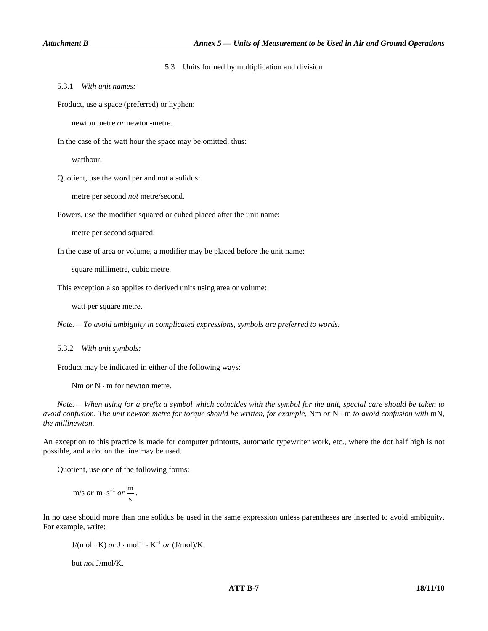#### 5.3 Units formed by multiplication and division

5.3.1 *With unit names:* 

Product, use a space (preferred) or hyphen:

newton metre *or* newton-metre.

In the case of the watt hour the space may be omitted, thus:

watthour.

Quotient, use the word per and not a solidus:

metre per second *not* metre/second.

Powers, use the modifier squared or cubed placed after the unit name:

metre per second squared.

In the case of area or volume, a modifier may be placed before the unit name:

square millimetre, cubic metre.

This exception also applies to derived units using area or volume:

watt per square metre.

 *Note.— To avoid ambiguity in complicated expressions, symbols are preferred to words.* 

#### 5.3.2 *With unit symbols:*

Product may be indicated in either of the following ways:

Nm *or* N ⋅ m for newton metre.

 *Note.— When using for a prefix a symbol which coincides with the symbol for the unit, special care should be taken to avoid confusion. The unit newton metre for torque should be written, for example,* Nm *or* N ⋅ m *to avoid confusion with* mN, *the millinewton.* 

An exception to this practice is made for computer printouts, automatic typewriter work, etc., where the dot half high is not possible, and a dot on the line may be used.

Quotient, use one of the following forms:

 $m/s \text{ or } m \cdot s^{-1} \text{ or } \frac{m}{s}.$ 

In no case should more than one solidus be used in the same expression unless parentheses are inserted to avoid ambiguity. For example, write:

 $J/(mol \cdot K)$  or  $J \cdot mol^{-1} \cdot K^{-1}$  or  $(J/mol)/K$ but *not* J/mol/K.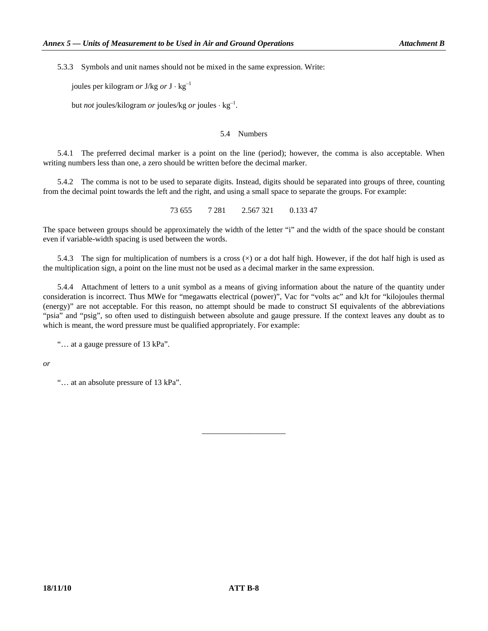5.3.3 Symbols and unit names should not be mixed in the same expression. Write:

joules per kilogram *or* J/kg *or* J ⋅ kg–1

but *not* joules/kilogram *or* joules/kg *or* joules ⋅ kg–1.

#### 5.4 Numbers

 5.4.1 The preferred decimal marker is a point on the line (period); however, the comma is also acceptable. When writing numbers less than one, a zero should be written before the decimal marker.

 5.4.2 The comma is not to be used to separate digits. Instead, digits should be separated into groups of three, counting from the decimal point towards the left and the right, and using a small space to separate the groups. For example:

73 655 7 281 2.567 321 0.133 47

The space between groups should be approximately the width of the letter "i" and the width of the space should be constant even if variable-width spacing is used between the words.

5.4.3 The sign for multiplication of numbers is a cross  $(\times)$  or a dot half high. However, if the dot half high is used as the multiplication sign, a point on the line must not be used as a decimal marker in the same expression.

 5.4.4 Attachment of letters to a unit symbol as a means of giving information about the nature of the quantity under consideration is incorrect. Thus MWe for "megawatts electrical (power)", Vac for "volts ac" and kJt for "kilojoules thermal (energy)" are not acceptable. For this reason, no attempt should be made to construct SI equivalents of the abbreviations "psia" and "psig", so often used to distinguish between absolute and gauge pressure. If the context leaves any doubt as to which is meant, the word pressure must be qualified appropriately. For example:

\_\_\_\_\_\_\_\_\_\_\_\_\_\_\_\_\_\_\_\_\_

"… at a gauge pressure of 13 kPa".

*or* 

"… at an absolute pressure of 13 kPa".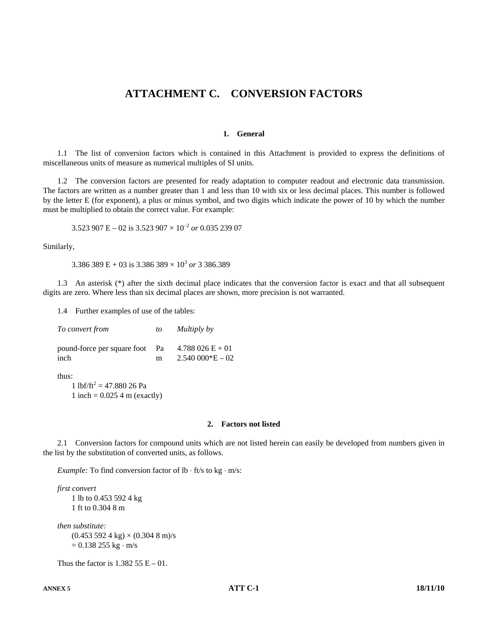## **ATTACHMENT C. CONVERSION FACTORS**

#### **1. General**

 1.1 The list of conversion factors which is contained in this Attachment is provided to express the definitions of miscellaneous units of measure as numerical multiples of SI units.

 1.2 The conversion factors are presented for ready adaptation to computer readout and electronic data transmission. The factors are written as a number greater than 1 and less than 10 with six or less decimal places. This number is followed by the letter E (for exponent), a plus or minus symbol, and two digits which indicate the power of 10 by which the number must be multiplied to obtain the correct value. For example:

3.523 907 E – 02 is 3.523 907 × 10–2 *or* 0.035 239 07

Similarly,

 $3.386\,389\text{ E} + 03\text{ is }3.386\,389\times 10^3\text{ or }3.386.389$ 

 1.3 An asterisk (\*) after the sixth decimal place indicates that the conversion factor is exact and that all subsequent digits are zero. Where less than six decimal places are shown, more precision is not warranted.

1.4 Further examples of use of the tables:

| To convert from                     | to      | Multiply by                          |
|-------------------------------------|---------|--------------------------------------|
| pound-force per square foot<br>inch | Pa<br>m | $4.788026E+01$<br>$2.540~000*E - 02$ |
| thus:                               |         |                                      |

1 lbf/ft<sup>2</sup> = 47.880 26 Pa  $1$  inch = 0.025 4 m (exactly)

#### **2. Factors not listed**

 2.1 Conversion factors for compound units which are not listed herein can easily be developed from numbers given in the list by the substitution of converted units, as follows.

*Example:* To find conversion factor of lb ⋅ ft/s to kg ⋅ m/s:

```
 first convert 
1 lb to 0.453 592 4 kg 
1 ft to 0.304 8 m
```

```
 then substitute: 
(0.453\,592\,4\,\mathrm{kg})\times(0.304\,8\,\mathrm{m})/\mathrm{s}= 0.138255 kg·m/s
```
Thus the factor is  $1.382\,55\,E - 01$ .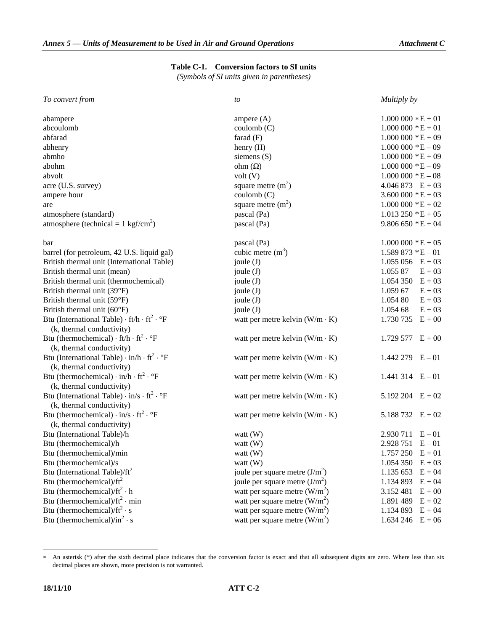### **Table C-1. Conversion factors to SI units**

*(Symbols of SI units given in parentheses)* 

| To convert from                                                           | to                                    | Multiply by                 |
|---------------------------------------------------------------------------|---------------------------------------|-----------------------------|
| abampere                                                                  | ampere $(A)$                          | $1.000\,000 * E + 01$       |
| abcoulomb                                                                 | coulomb (C)                           | $1.000\ 000\ 000\ 000$      |
| abfarad                                                                   | farad $(F)$                           | $1.000\ 000\ 000\ 000\ 000$ |
| abhenry                                                                   | henry (H)                             | $1.000\ 000*E-09$           |
| abmho                                                                     | siemens $(S)$                         | $1.000~000*E+09$            |
| abohm                                                                     | ohm $(\Omega)$                        | $1.000000 * E - 09$         |
| abvolt                                                                    | volt(V)                               | $1.000\ 000*E-08$           |
| acre (U.S. survey)                                                        | square metre $(m2)$                   | $4.046873 E + 03$           |
| ampere hour                                                               | coulomb (C)                           | $3.600\,000*E+03$           |
| are                                                                       | square metre $(m2)$                   | $1.000\ 000*E+02$           |
| atmosphere (standard)                                                     | pascal (Pa)                           | $1.013$ 250 $*E + 05$       |
| atmosphere (technical = $1 \text{ kgf/cm}^2$ )                            | pascal (Pa)                           | $9.806650 *E + 04$          |
| bar                                                                       | pascal (Pa)                           | $1.000\ 000\ 000\ 000\ 000$ |
| barrel (for petroleum, 42 U.S. liquid gal)                                | cubic metre $(m3)$                    | $1.589873 * E - 01$         |
| British thermal unit (International Table)                                | joule $(J)$                           | $1.055\,056$ E + 03         |
| British thermal unit (mean)                                               | joule $(J)$                           | 1.055 87<br>$E + 03$        |
| British thermal unit (thermochemical)                                     | joule $(J)$                           | $E + 03$<br>1.054 350       |
| British thermal unit (39°F)                                               | joule $(J)$                           | $E + 03$<br>1.059 67        |
| British thermal unit (59°F)                                               | joule $(J)$                           | $E + 03$<br>1.054 80        |
| British thermal unit (60°F)                                               | joule $(J)$                           | $E + 03$<br>1.054 68        |
| Btu (International Table) $\cdot$ ft/h $\cdot$ ft <sup>2</sup> $\cdot$ °F | watt per metre kelvin $(W/m \cdot K)$ | $E + 00$<br>1.730 735       |
| (k, thermal conductivity)                                                 |                                       |                             |
| Btu (thermochemical) $\cdot$ ft/h $\cdot$ ft <sup>2</sup> $\cdot$ °F      | watt per metre kelvin $(W/m \cdot K)$ | 1.729 577 $E + 00$          |
| (k, thermal conductivity)                                                 |                                       |                             |
| Btu (International Table) $\cdot$ in/h $\cdot$ ft <sup>2</sup> $\cdot$ °F | watt per metre kelvin $(W/m \cdot K)$ | $1.442\,279$ $E-01$         |
| (k, thermal conductivity)                                                 |                                       |                             |
| Btu (thermochemical) $\cdot$ in/h $\cdot$ ft <sup>2</sup> $\cdot$ °F      | watt per metre kelvin $(W/m \cdot K)$ | 1.441 314 $E-01$            |
| (k, thermal conductivity)                                                 |                                       |                             |
| Btu (International Table) $\cdot$ in/s $\cdot$ ft <sup>2</sup> $\cdot$ °F | watt per metre kelvin $(W/m \cdot K)$ | 5.192 204 $E + 02$          |
| (k, thermal conductivity)                                                 |                                       |                             |
| Btu (thermochemical) $\cdot$ in/s $\cdot$ ft <sup>2</sup> $\cdot$ °F      | watt per metre kelvin $(W/m \cdot K)$ | 5.188732 $E + 02$           |
| (k, thermal conductivity)                                                 |                                       |                             |
| Btu (International Table)/h                                               | watt $(W)$                            | 2.930 711<br>$E - 01$       |
| Btu (thermochemical)/h                                                    | watt $(W)$                            | $2.928751 E - 01$           |
| Btu (thermochemical)/min                                                  | watt (W)                              | $1.757250 E + 01$           |
| Btu (thermochemical)/s                                                    | watt (W)                              | 1.054 350<br>$E + 03$       |
| Btu (International Table)/ft <sup>2</sup>                                 | joule per square metre $(J/m2)$       | $E + 04$<br>1.135 653       |
| Btu (thermochemical)/ $ft^2$                                              | joule per square metre $(J/m2)$       | $E + 04$<br>1.134 893       |
| Btu (thermochemical)/ $ft^2 \cdot h$                                      | watt per square metre $(W/m2)$        | $E + 00$<br>3.152 481       |
| Btu (thermochemical)/ $ft^2 \cdot min$                                    | watt per square metre $(W/m^2)$       | $E + 02$<br>1.891 489       |
| Btu (thermochemical)/ $ft^2 \cdot s$                                      | watt per square metre $(W/m^2)$       | $E + 04$<br>1.134 893       |
| Btu (thermochemical)/in <sup>2</sup> · s                                  | watt per square metre $(W/m^2)$       | $E + 06$<br>1.634 246       |

<sup>∗</sup> An asterisk (\*) after the sixth decimal place indicates that the conversion factor is exact and that all subsequent digits are zero. Where less than six decimal places are shown, more precision is not warranted.

-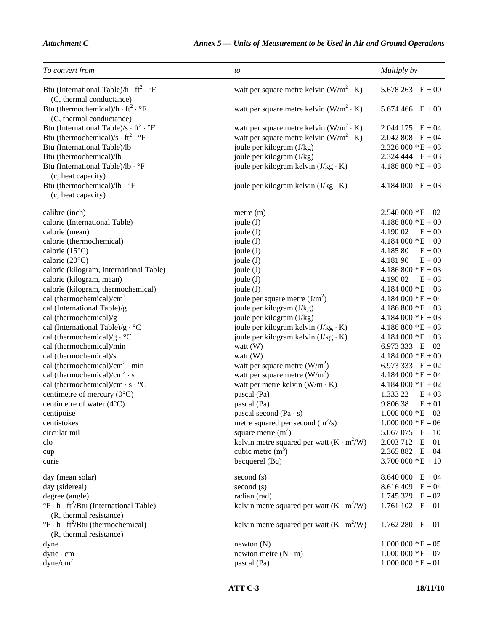| To convert from                                                                            | to                                              | Multiply by                    |
|--------------------------------------------------------------------------------------------|-------------------------------------------------|--------------------------------|
| Btu (International Table)/h $\cdot$ ft <sup>2</sup> $\cdot$ °F<br>(C, thermal conductance) | watt per square metre kelvin $(W/m^2 \cdot K)$  | 5.678 263 $E + 00$             |
| Btu (thermochemical)/h $\cdot$ ft <sup>2</sup> $\cdot$ °F<br>(C, thermal conductance)      | watt per square metre kelvin $(W/m^2 \cdot K)$  | 5.674 466 $E + 00$             |
| Btu (International Table)/s $\cdot$ ft <sup>2</sup> $\cdot$ °F                             | watt per square metre kelvin $(W/m^2 \cdot K)$  | $2.044$ 175 $E + 04$           |
| Btu (thermochemical)/s $\cdot$ ft <sup>2</sup> $\cdot$ °F                                  | watt per square metre kelvin $(W/m^2 \cdot K)$  | 2.042 808<br>$E + 04$          |
| Btu (International Table)/lb                                                               | joule per kilogram (J/kg)                       | $2.326000 * E + 03$            |
| Btu (thermochemical)/lb                                                                    | joule per kilogram (J/kg)                       | $2.324444 E + 03$              |
| Btu (International Table)/lb · °F                                                          | joule per kilogram kelvin $(J/kg \cdot K)$      | $4.186800 * E + 03$            |
| (c, heat capacity)                                                                         |                                                 |                                |
| Btu (thermochemical)/lb · °F                                                               | joule per kilogram kelvin $(J/kg \cdot K)$      | $4.184000 E + 03$              |
| (c, heat capacity)                                                                         |                                                 |                                |
| calibre (inch)                                                                             | $m$ etre $(m)$                                  | $2.540000 * E - 02$            |
| calorie (International Table)                                                              | joule $(J)$                                     | $4.186800 * E + 00$            |
| calorie (mean)                                                                             | joule $(J)$                                     | 4.190 02<br>$E + 00$           |
| calorie (thermochemical)                                                                   | joule $(J)$                                     | $4.184000 * E + 00$            |
| calorie $(15^{\circ}C)$                                                                    | joule $(J)$                                     | 4.185 80<br>$E + 00$           |
| calorie $(20^{\circ}C)$                                                                    | joule $(J)$                                     | 4.181 90<br>$E + 00$           |
| calorie (kilogram, International Table)                                                    | joule $(J)$                                     | $4.186800 * E + 03$            |
| calorie (kilogram, mean)                                                                   | joule $(J)$                                     | $E + 03$<br>4.190 02           |
| calorie (kilogram, thermochemical)                                                         | joule $(J)$                                     | $4.184000 * E + 03$            |
| cal (thermochemical)/ $cm2$                                                                | joule per square metre $(J/m^2)$                | $4.184000 * E + 04$            |
| cal (International Table)/g                                                                | joule per kilogram (J/kg)                       | $4.186800 * E + 03$            |
| cal (thermochemical)/g                                                                     | joule per kilogram (J/kg)                       | $4.184000 * E + 03$            |
| cal (International Table)/g · °C                                                           | joule per kilogram kelvin $(J/kg \cdot K)$      | $4.186800 * E + 03$            |
| cal (thermochemical)/g $\cdot$ °C                                                          | joule per kilogram kelvin $(J/kg \cdot K)$      | $4.184000 * E + 03$            |
| cal (thermochemical)/min                                                                   | watt $(W)$                                      | 6.973 333 $E-02$               |
| cal (thermochemical)/s                                                                     | watt $(W)$                                      | $4.184000 * E + 00$            |
| cal (thermochemical)/ $\text{cm}^2 \cdot \text{min}$                                       | watt per square metre $(W/m2)$                  | 6.973 333 $E + 02$             |
| cal (thermochemical)/ $\text{cm}^2 \cdot \text{s}$                                         | watt per square metre $(W/m2)$                  | $4.184000 * E + 04$            |
| cal (thermochemical)/cm $\cdot$ s $\cdot$ °C                                               | watt per metre kelvin $(W/m \cdot K)$           | $4.184000 * E + 02$            |
| centimetre of mercury $(0^{\circ}C)$                                                       | pascal (Pa)                                     | 1.333 22<br>$E + 03$           |
| centimetre of water $(4^{\circ}C)$                                                         | pascal (Pa)                                     | 9.80638<br>$E + 01$            |
| centipoise                                                                                 | pascal second $(Pa \cdot s)$                    | $1.000\ 000\  \, ^{\ast}E-03$  |
| centistokes                                                                                | metre squared per second $(m^2/s)$              | $1.000\ 000\ *E-06$            |
| circular mil                                                                               | square metre $(m2)$                             | $5.067075$ E - 10              |
| clo                                                                                        | kelvin metre squared per watt $(K \cdot m^2/W)$ | $2.003\ 712$ E $-01$           |
| cup                                                                                        | cubic metre $(m3)$                              | $2.365882 E - 04$              |
| curie                                                                                      | becquerel (Bq)                                  | $3.700\,000*E+10$              |
| day (mean solar)                                                                           | second (s)                                      | $8.640000 E + 04$              |
| day (sidereal)                                                                             | second (s)                                      | $8.616409$ E + 04              |
| degree (angle)                                                                             | radian (rad)                                    | $1.745329$ E - 02              |
| $\mathrm{P}F \cdot h \cdot \mathrm{ft}^2/B$ tu (International Table)                       | kelvin metre squared per watt $(K \cdot m^2/W)$ | 1.761 $102$ E $-01$            |
| (R, thermal resistance)                                                                    |                                                 |                                |
| $\mathrm{P}F \cdot h \cdot \mathrm{ft}^2/\mathrm{B}t$ u (thermochemical)                   | kelvin metre squared per watt $(K \cdot m^2/W)$ | $1.762280$ $E-01$              |
| (R, thermal resistance)                                                                    |                                                 |                                |
| dyne                                                                                       | newton(N)                                       | $1.000\ 000\ *E-05$            |
| $dyne$ $\cdot$ cm                                                                          | newton metre $(N \cdot m)$                      | $1.000\ 000\  \, ^{\ast }E-07$ |
| dyne/cm <sup>2</sup>                                                                       | pascal (Pa)                                     | $1.000000 * E - 01$            |
|                                                                                            |                                                 |                                |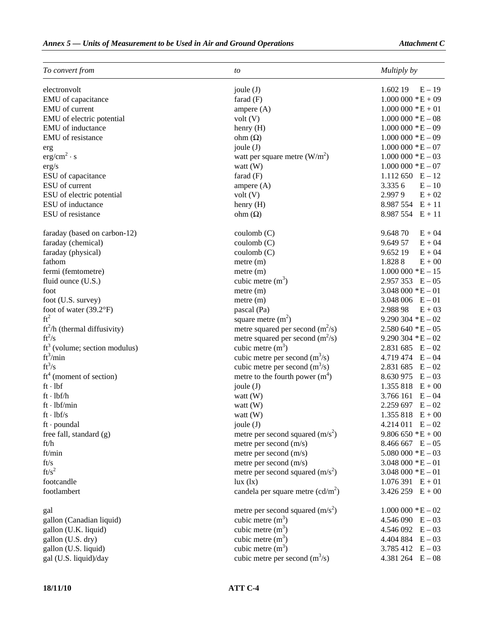| To convert from                 | to                                  | Multiply by                      |
|---------------------------------|-------------------------------------|----------------------------------|
| electronvolt                    | joule (J)                           | 1.602 19<br>$E-19$               |
| EMU of capacitance              | farad $(F)$                         | $1.000\ 000\ 000\ 000\ + E + 09$ |
| EMU of current                  | ampere $(A)$                        | $1.000\,000*E+01$                |
| EMU of electric potential       | volt(V)                             | $1.000\ 000*E-08$                |
| EMU of inductance               | henry (H)                           | $1.000\ 000\  \, ^{\ast}E-09$    |
| EMU of resistance               | ohm $(\Omega)$                      | $1.000\ 000\ *E-09$              |
| erg                             | joule $(J)$                         | $1.000\ 000\ \mathrm{E} - 07$    |
| erg/cm <sup>2</sup> · s         | watt per square metre $(W/m2)$      | $1.000\ 000\  \, ^{\ast}E-03$    |
| erg/s                           | watt $(W)$                          | $1.000\ 000\  \, ^{\ast}E-07$    |
| ESU of capacitance              | farad $(F)$                         | $1.112\,650$ E - 12              |
| ESU of current                  | ampere $(A)$                        | 3.335 6<br>$E - 10$              |
| ESU of electric potential       | volt(V)                             | 2.9979<br>$E + 02$               |
| ESU of inductance               | henry (H)                           | $8.987554 E + 11$                |
| ESU of resistance               | ohm $(\Omega)$                      | $8.987554 E + 11$                |
|                                 |                                     |                                  |
| faraday (based on carbon-12)    | $\text{coulomb}$ (C)                | 9.648 70<br>$E + 04$             |
| faraday (chemical)              | $\text{coulomb}$ (C)                | 9.649 57<br>$E + 04$             |
| faraday (physical)              | $\text{coulomb}$ (C)                | 9.652 19<br>$E + 04$             |
| fathom                          | $m$ etre $(m)$                      | 1.8288<br>$E + 00$               |
| fermi (femtometre)              | $m$ etre $(m)$                      | $1.000\ 000*E-15$                |
| fluid ounce (U.S.)              | cubic metre $(m3)$                  | $2.957353 E - 05$                |
| foot                            | $m$ etre $(m)$                      | $3.048\,000$ * $E - 01$          |
| foot (U.S. survey)              | metre (m)                           | $3.048\,006$ $E - 01$            |
| foot of water $(39.2^{\circ}F)$ | pascal (Pa)                         | 2.988 98<br>$E + 03$             |
| $ft^2$                          | square metre $(m2)$                 | $9.290304 *E - 02$               |
| $ft2/h$ (thermal diffusivity)   | metre squared per second $(m^2/s)$  | $2.580640 * E - 05$              |
| $ft^2/s$                        | metre squared per second $(m^2/s)$  | $9.290304 *E - 02$               |
| $ft3$ (volume; section modulus) | cubic metre $(m3)$                  | $2.831\,685$ E $-02$             |
| $ft^3/min$                      | cubic metre per second $(m^3/s)$    | $4.719474 E - 04$                |
| $ft^3/s$                        | cubic metre per second $(m^3/s)$    | $2.831\,685$ E $-02$             |
| $ft^4$ (moment of section)      | metre to the fourth power $(m4)$    | $8.630975$ E - 03                |
| ft·lbf                          | joule $(J)$                         | $1.355818$ E + 00                |
| $ft \cdot lbf/h$                | watt $(W)$                          | $3.766161 E-04$                  |
| $ft \cdot lbf/min$              | watt $(W)$                          | $2.259697$ E - 02                |
| $ft \cdot lbf/s$                | watt $(W)$                          | $1.355818$ E + 00                |
| $ft$ · poundal                  | joule $(J)$                         | $4.214\,011$ $E - 02$            |
| free fall, standard $(g)$       | metre per second squared $(m/s^2)$  | $9.806650 *E + 00$               |
| ft/h                            | metre per second $(m/s)$            | $8.466667$ E - 05                |
| ft/min                          | metre per second (m/s)              | $5.080000 * E - 03$              |
| ft/s                            | metre per second (m/s)              | $3.048\,000$ * E $-01$           |
| $ft/s^2$                        | metre per second squared $(m/s^2)$  | $3.048\,000*E-01$                |
| footcandle                      | lux (lx)                            | $1.076391 E + 01$                |
| footlambert                     | candela per square metre $(cd/m^2)$ | $3.426\,259$ E + 00              |
|                                 |                                     |                                  |
| gal                             | metre per second squared $(m/s^2)$  | $1.000\ 000*E-02$                |
| gallon (Canadian liquid)        | cubic metre $(m3)$                  | $4.546090$ E $-03$               |
| gallon (U.K. liquid)            | cubic metre $(m3)$                  | $4.546092$ E $-03$               |
| gallon (U.S. dry)               | cubic metre $(m3)$                  | $4.404884 E - 03$                |
| gallon (U.S. liquid)            | cubic metre $(m3)$                  | 3.785 412 $E-03$                 |
| gal (U.S. liquid)/day           | cubic metre per second $(m^3/s)$    | $4.381\,264$ E $-08$             |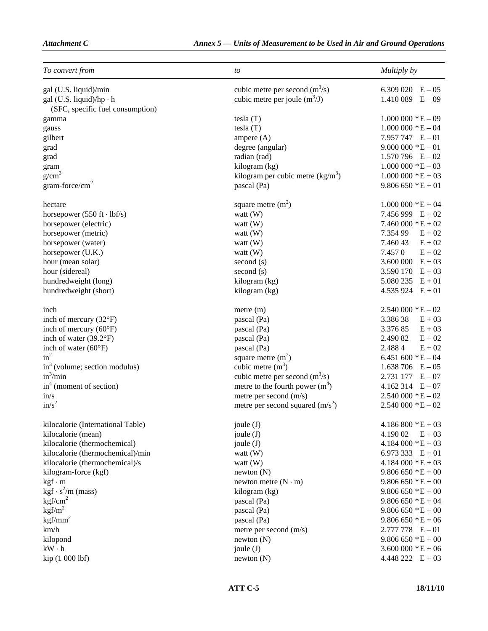| To convert from                                  | to                                 | Multiply by                   |
|--------------------------------------------------|------------------------------------|-------------------------------|
| gal (U.S. liquid)/min                            | cubic metre per second $(m^3/s)$   | 6.309 020 $E - 05$            |
| gal (U.S. liquid)/hp $\cdot$ h                   | cubic metre per joule $(m^3/J)$    | $1.410089$ E - 09             |
| (SFC, specific fuel consumption)                 |                                    |                               |
| gamma                                            | tesla(T)                           | $1.000000 * E - 09$           |
| gauss                                            | tesla(T)                           | $1.000\ 000\ *E-04$           |
| gilbert                                          | ampere $(A)$                       | 7.957 747 $E-01$              |
| grad                                             | degree (angular)                   | $9.000000 * E - 01$           |
| grad                                             | radian (rad)                       | $1.570796$ E - 02             |
| gram                                             | kilogram (kg)                      | $1.000\ 000\ \mathrm{E} - 03$ |
| g/cm <sup>3</sup>                                | kilogram per cubic metre $(kg/m3)$ | $1.000\ 000*E+03$             |
| $gram-force/cm2$                                 | pascal (Pa)                        | $9.806650 *E + 01$            |
| hectare                                          | square metre $(m2)$                | $1.000\,000 * E + 04$         |
| horsepower $(550 \text{ ft} \cdot \text{lbf/s})$ | watt $(W)$                         | 7.456 999 $E + 02$            |
| horsepower (electric)                            | watt $(W)$                         | $7.460\,000 * E + 02$         |
| horsepower (metric)                              | watt (W)                           | 7.354 99<br>$E + 02$          |
| horsepower (water)                               | watt $(W)$                         | 7.460 43<br>$E + 02$          |
| horsepower (U.K.)                                | watt $(W)$                         | 7.457 0<br>$E + 02$           |
| hour (mean solar)                                | second (s)                         | $3.600\,000$ E + 03           |
| hour (sidereal)                                  | second (s)                         | 3.590 170 $E + 03$            |
| hundredweight (long)                             | kilogram (kg)                      | $5.080235$ E + 01             |
| hundredweight (short)                            | kilogram (kg)                      | $4.535924$ E + 01             |
| inch                                             | metre (m)                          | $2.540\,000 * E - 02$         |
| inch of mercury (32°F)                           | pascal (Pa)                        | 3.38638<br>$E + 03$           |
| inch of mercury $(60^{\circ}F)$                  | pascal (Pa)                        | 3.376 85<br>$E + 03$          |
| inch of water (39.2°F)                           | pascal (Pa)                        | 2.490 82<br>$E + 02$          |
| inch of water $(60^{\circ}F)$                    | pascal (Pa)                        | 2.4884<br>$E + 02$            |
| $in^2$                                           | square metre $(m2)$                | 6.451 600 $*E - 04$           |
| $in3$ (volume; section modulus)                  | cubic metre $(m^3)$                | $1.638\,706$ E $-05$          |
| $in^3/min$                                       | cubic metre per second $(m^3/s)$   | $2.731\,177\quad E-07$        |
| $in4$ (moment of section)                        | metre to the fourth power $(m4)$   | $4.162314$ E - 07             |
| in/s                                             | metre per second (m/s)             | $2.540000 * E - 02$           |
| in/s <sup>2</sup>                                | metre per second squared $(m/s^2)$ | $2.540000 * E - 02$           |
| kilocalorie (International Table)                | joule (J)                          | $4.186800 * E + 03$           |
| kilocalorie (mean)                               | joule (J)                          | 4.190 02<br>$E + 03$          |
| kilocalorie (thermochemical)                     | joule (J)                          | $4.184\,000 * E + 03$         |
| kilocalorie (thermochemical)/min                 | watt $(W)$                         | 6.973 333 $E + 01$            |
| kilocalorie (thermochemical)/s                   | watt $(W)$                         | $4.184000 * E + 03$           |
| kilogram-force (kgf)                             | newton(N)                          | $9.806650 * E + 00$           |
| $kgf \cdot m$                                    | newton metre $(N \cdot m)$         | $9.806650 *E + 00$            |
| $kgf \cdot s^2/m \text{ (mass)}$                 | kilogram (kg)                      | $9.806650 *E + 00$            |
| kgf/cm <sup>2</sup>                              | pascal (Pa)                        | $9.806650 *E + 04$            |
| kgf/m <sup>2</sup>                               | pascal (Pa)                        | $9.806650 *E + 00$            |
| $kgf/mm^2$                                       | pascal (Pa)                        | $9.806650 *E + 06$            |
| km/h                                             | metre per second $(m/s)$           | $2.777778$ E $-01$            |
| kilopond                                         | newton(N)                          | $9.806650 * E + 00$           |
| $kW \cdot h$                                     | joule (J)                          | $3.600\,000*E+06$             |
| kip (1 000 lbf)                                  | newton(N)                          | $4.448\,222$ E + 03           |
|                                                  |                                    |                               |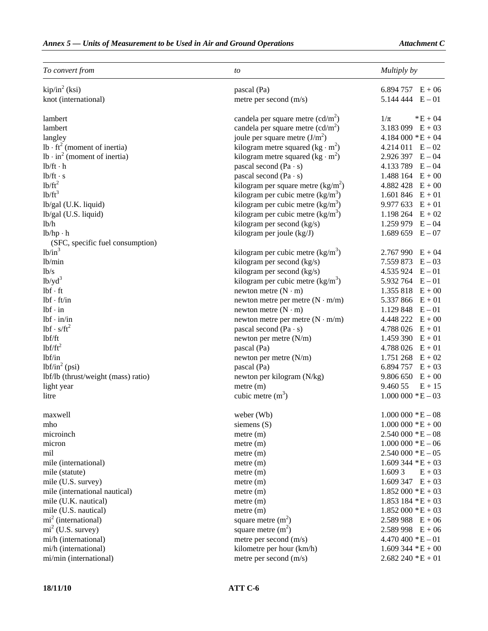| To convert from                     | to                                                  | Multiply by                    |
|-------------------------------------|-----------------------------------------------------|--------------------------------|
| kip/in <sup>2</sup> (ksi)           | pascal (Pa)                                         | 6.894 757 $E + 06$             |
| knot (international)                | metre per second (m/s)                              | $5.144444 \quad E - 01$        |
| lambert                             | candela per square metre $(cd/m^2)$                 | $1/\pi$<br>$E + 04$            |
| lambert                             | candela per square metre $(cd/m^2)$                 | 3.183 099 $E + 03$             |
| langley                             | joule per square metre $(J/m2)$                     | $4.184000 * E + 04$            |
| $lb \cdot ft^2$ (moment of inertia) | kilogram metre squared (kg · m <sup>2</sup> )       | $4.214011$ $E-02$              |
| $lb \cdot in^2$ (moment of inertia) | kilogram metre squared (kg $\cdot$ m <sup>2</sup> ) | $2.926397$ E - 04              |
| $lb/ft \cdot h$                     | pascal second $(Pa \cdot s)$                        | 4.133 789 $E - 04$             |
| $lb/ft \cdot s$                     | pascal second $(Pa \cdot s)$                        | 1.488 164 $E + 00$             |
| $1b/ft^2$                           | kilogram per square metre $(kg/m2)$                 | $4.882428 E + 00$              |
| $1b/ft^3$                           | kilogram per cubic metre $(kg/m3)$                  | 1.601 846 $E + 01$             |
| lb/gal (U.K. liquid)                | kilogram per cubic metre $(kg/m^3)$                 | 9.977 633<br>$E + 01$          |
| lb/gal (U.S. liquid)                | kilogram per cubic metre $(kg/m3)$                  | 1.198 264<br>$E + 02$          |
| 1b/h                                | kilogram per second (kg/s)                          | $1.259979$ E - 04              |
| $lb/hp \cdot h$                     | kilogram per joule (kg/J)                           | $1.689659 E - 07$              |
| (SFC, specific fuel consumption)    |                                                     |                                |
| $1b/in^3$                           | kilogram per cubic metre $(kg/m3)$                  | $2.767990$ E + 04              |
| lb/min                              | kilogram per second (kg/s)                          | 7.559 873<br>$E - 03$          |
| 1 <sub>b</sub> /s                   | kilogram per second (kg/s)                          | $4.535924$ E $-01$             |
| $1b/yd^3$                           | kilogram per cubic metre $(kg/m3)$                  | $5.932\,764$ $E-01$            |
| $lbf \cdot ft$                      | newton metre $(N \cdot m)$                          | 1.355 818<br>$E + 00$          |
| $lbf \cdot ft/in$                   | newton metre per metre $(N \cdot m/m)$              | 5.337 866<br>$E + 01$          |
| $lbf \cdot in$                      | newton metre $(N \cdot m)$                          | 1.129 848 $E-01$               |
| $lbf \cdot in/in$                   | newton metre per metre $(N \cdot m/m)$              | $4.448222 E + 00$              |
| $1bf \cdot s/ft^2$                  | pascal second $(Pa \cdot s)$                        | $4.788026 E + 01$              |
| lbf/ft                              | newton per metre (N/m)                              | $1.459390 E + 01$              |
| $1bf/ft^2$                          | pascal (Pa)                                         | $4.788026 E + 01$              |
| lbf/in                              | newton per metre (N/m)                              | $1.751\,268$ E + 02            |
| $lbf/in^2$ (psi)                    | pascal (Pa)                                         | 6.894 757 $E + 03$             |
| lbf/lb (thrust/weight (mass) ratio) | newton per kilogram (N/kg)                          | $9.806650 E + 00$              |
| light year                          | metre (m)                                           | 9.460 55<br>$E + 15$           |
| litre                               | cubic metre $(m3)$                                  | $1.000\ 000\  \, ^{\ast }E-03$ |
| maxwell                             | weber (Wb)                                          | $1.000\ 000\ *E-08$            |
| mho                                 | siemens $(S)$                                       | $1.000\,000*E+00$              |
| microinch                           | $m$ etre $(m)$                                      | $2.540000 * E - 08$            |
| micron                              | $m$ etre $(m)$                                      | $1.000\ 000\ *E-06$            |
| mil                                 | $m$ etre $(m)$                                      | $2.540000 * E - 05$            |
| mile (international)                | $m$ etre $(m)$                                      | $1.609344 *E + 03$             |
| mile (statute)                      | $m$ etre $(m)$                                      | 1.609 3<br>$E + 03$            |
| mile (U.S. survey)                  | $m$ etre $(m)$                                      | $1.609347 E + 03$              |
| mile (international nautical)       | $m$ etre $(m)$                                      | $1.852000 * E + 03$            |
| mile (U.K. nautical)                | $m$ etre $(m)$                                      | $1.853$ 184 $*E + 03$          |
| mile (U.S. nautical)                | metre (m)                                           | $1.852000 * E + 03$            |
| $mi2$ (international)               | square metre $(m2)$                                 | $2.589988 E + 06$              |
| $mi2$ (U.S. survey)                 | square metre $(m2)$                                 | $2.589998$ E + 06              |
| mi/h (international)                | metre per second (m/s)                              | $4.470\,400$ * $E - 01$        |
| mi/h (international)                | kilometre per hour (km/h)                           | $1.609344 *E + 00$             |
| mi/min (international)              | metre per second (m/s)                              | $2.682240 *E + 01$             |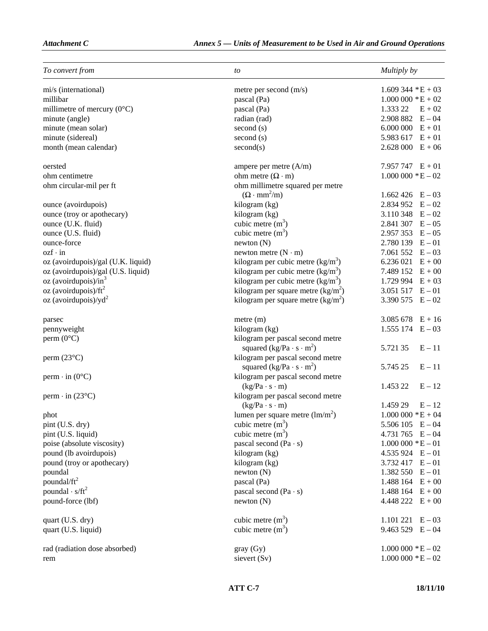| To convert from                      | to                                                                      | Multiply by                      |
|--------------------------------------|-------------------------------------------------------------------------|----------------------------------|
| mi/s (international)                 | metre per second $(m/s)$                                                | $1.609344 *E + 03$               |
| millibar                             | pascal (Pa)                                                             | $1.000\ 000\ 000\ 000\ + E + 02$ |
| millimetre of mercury $(0^{\circ}C)$ | pascal (Pa)                                                             | 1.333 22<br>$E + 02$             |
| minute (angle)                       | radian (rad)                                                            | $2.908882 E - 04$                |
| minute (mean solar)                  | second (s)                                                              | $6.000\ 000\ E + 01$             |
| minute (sidereal)                    | second (s)                                                              | 5.983 617 $E + 01$               |
| month (mean calendar)                | second(s)                                                               | $2.628000 E + 06$                |
| oersted                              | ampere per metre $(A/m)$                                                | 7.957 747 $E + 01$               |
| ohm centimetre                       | ohm metre $(\Omega \cdot m)$                                            | $1.000\ 000\ 000\ 000\ 000$      |
| ohm circular-mil per ft              | ohm millimetre squared per metre                                        |                                  |
|                                      | $(\Omega \cdot \text{mm}^2/\text{m})$                                   | $1.662426$ E - 03                |
| ounce (avoirdupois)                  | kilogram (kg)                                                           | $2.834952 E - 02$                |
| ounce (troy or apothecary)           | kilogram (kg)                                                           | 3.110 348 $E - 02$               |
| ounce (U.K. fluid)                   | cubic metre $(m3)$                                                      | $2.841307$ $E-05$                |
| ounce (U.S. fluid)                   | cubic metre $(m3)$                                                      | $2.957353 E - 05$                |
| ounce-force                          | newton (N)                                                              | $2.780139$ $E-01$                |
| $ozf \cdot in$                       | newton metre $(N \cdot m)$                                              | 7.061 552 $E-03$                 |
| oz (avoirdupois)/gal (U.K. liquid)   | kilogram per cubic metre $(kg/m3)$                                      | $6.236021$ $E + 00$              |
| oz (avoirdupois)/gal (U.S. liquid)   | kilogram per cubic metre $(kg/m^3)$                                     | 7.489 152 $E + 00$               |
| $oz$ (avoirdupois)/in <sup>3</sup>   | kilogram per cubic metre $(kg/m3)$                                      | 1.729 994 $E + 03$               |
| oz (avoirdupois)/ $ft^2$             | kilogram per square metre $(kg/m2)$                                     | $3.051517$ E - 01                |
| oz (avoirdupois)/ $yd^2$             | kilogram per square metre $(kg/m2)$                                     | 3.390 575 $E - 02$               |
| parsec                               | $m$ etre $(m)$                                                          | $3.085678 E + 16$                |
| pennyweight                          | kilogram (kg)                                                           | $1.555174 \quad E-03$            |
| perm $(0^{\circ}C)$                  | kilogram per pascal second metre<br>squared $(kg/Pa \cdot s \cdot m^2)$ | $E - 11$<br>5.721 35             |
| perm $(23^{\circ}C)$                 | kilogram per pascal second metre<br>squared $(kg/Pa \cdot s \cdot m^2)$ | 5.745 25<br>$E - 11$             |
| perm $\cdot$ in (0°C)                | kilogram per pascal second metre<br>$(kg/Pa \cdot s \cdot m)$           | 1.453 22<br>$E - 12$             |
| perm $\cdot$ in (23 $\degree$ C)     | kilogram per pascal second metre                                        |                                  |
|                                      | $(kg/Pa \cdot s \cdot m)$                                               | 1.459 29<br>$E - 12$             |
| phot                                 | lumen per square metre $(lm/m^2)$                                       | $1.000\ 000\ 000\ 000\ + E + 04$ |
| pint (U.S. dry)                      | cubic metre $(m3)$                                                      | $5.506105$ E - 04                |
| pint (U.S. liquid)                   | cubic metre $(m3)$                                                      | 4.731 765 $E - 04$               |
| poise (absolute viscosity)           | pascal second $(Pa \cdot s)$                                            | $1.000\ 000\ 000\ 000$           |
| pound (lb avoirdupois)               | kilogram (kg)                                                           | $4.535924$ E $-01$               |
| pound (troy or apothecary)           | kilogram (kg)                                                           | $3.732417$ E - 01                |
| poundal                              | newton(N)                                                               | $1.382550$ E - 01                |
| poundal/ft <sup>2</sup>              | pascal (Pa)                                                             | $1.488164 E + 00$                |
| poundal $\cdot$ s/ft <sup>2</sup>    | pascal second $(Pa \cdot s)$                                            | 1.488 164 $E + 00$               |
| pound-force (lbf)                    | newton(N)                                                               | 4.448 222 $E + 00$               |
| quart (U.S. dry)                     | cubic metre $(m3)$                                                      | $1.101 221 E - 03$               |
| quart (U.S. liquid)                  | cubic metre $(m3)$                                                      | $9.463529$ E - 04                |
| rad (radiation dose absorbed)        | gray (Gy)                                                               | $1.000\ 000*E-02$                |
| rem                                  | sievert (Sv)                                                            | $1.000\ 000\ *E-02$              |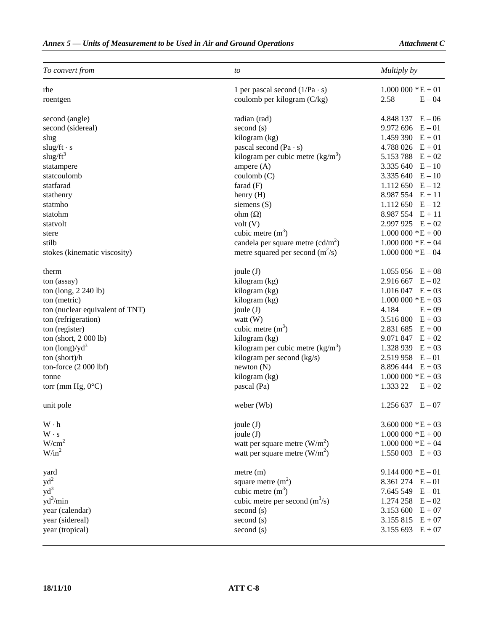| To convert from                 | to                                   | Multiply by                      |  |
|---------------------------------|--------------------------------------|----------------------------------|--|
| rhe                             | 1 per pascal second $(1/Pa \cdot s)$ | $1.000\ 000*E+01$                |  |
| roentgen                        | coulomb per kilogram (C/kg)          | 2.58<br>$E - 04$                 |  |
| second (angle)                  | radian (rad)                         | $4.848137 \quad E-06$            |  |
| second (sidereal)               | second (s)                           | $9.972696 E - 01$                |  |
| slug                            | kilogram (kg)                        | 1.459 390<br>$E + 01$            |  |
| $slug/ft \cdot s$               | pascal second $(Pa \cdot s)$         | 4.788 026<br>$E + 01$            |  |
| slug/ $ft^3$                    | kilogram per cubic metre $(kg/m3)$   | 5.153 788<br>$E + 02$            |  |
| statampere                      | ampere (A)<br>3.335 640<br>$E - 10$  |                                  |  |
| statcoulomb                     | coulomb (C)<br>3.335 640<br>$E - 10$ |                                  |  |
| statfarad                       | 1.112 650<br>farad $(F)$<br>$E - 12$ |                                  |  |
| stathenry                       | $8.987554 E + 11$<br>henry (H)       |                                  |  |
| statmho                         | siemens $(S)$<br>$1.112\,650$ E - 12 |                                  |  |
| statohm                         | ohm $(\Omega)$                       | $8.987554 E + 11$                |  |
| statvolt                        | volt (V)                             | 2.997 925 $E + 02$               |  |
| stere                           | cubic metre $(m3)$                   | $1.000\ 000\ 000\ 000\ 000$      |  |
| stilb                           | candela per square metre $(cd/m^2)$  | $1.000\ 000\ 000\ 000\ + E + 04$ |  |
| stokes (kinematic viscosity)    | metre squared per second $(m^2/s)$   | $1.000\ 000\ *E-04$              |  |
|                                 |                                      |                                  |  |
| therm                           | joule $(J)$                          | $1.055\,056$ E + 08              |  |
| ton (assay)                     | kilogram (kg)                        | $2.916667$ E - 02                |  |
| ton (long, 2 240 lb)            | kilogram (kg)                        | $1.016047 E + 03$                |  |
| ton (metric)                    | kilogram (kg)                        | $1.000\ 000*E+03$                |  |
| ton (nuclear equivalent of TNT) | joule $(J)$                          | 4.184<br>$E + 09$                |  |
| ton (refrigeration)             | watt $(W)$                           | 3.516 800<br>$E + 03$            |  |
| ton (register)                  | cubic metre $(m3)$                   | 2.831 685 $E + 00$               |  |
| ton (short, 2 000 lb)           | kilogram (kg)                        | 9.071 847<br>$E + 02$            |  |
| ton $(\text{long})/\text{yd}^3$ | kilogram per cubic metre $(kg/m3)$   | 1.328 939<br>$E + 03$            |  |
| ton (short)/h                   | kilogram per second (kg/s)           | 2.519 958<br>$\rm E-01$          |  |
| ton-force $(2 000 lbf)$         | newton(N)                            | 8.896 444 $E + 03$               |  |
| tonne                           | kilogram (kg)                        | $1.000\ 000*E+03$                |  |
| torr (mm Hg, $0^{\circ}$ C)     | pascal (Pa)                          | 1.333 22<br>$E + 02$             |  |
| unit pole                       | weber (Wb)                           | $1.256637 \quad E - 07$          |  |
| $W \cdot h$                     | joule (J)                            | $3.600\,000 * E + 03$            |  |
| $W \cdot s$                     | joule (J)                            | $1.000\ 000\ 000\ 000\ + E + 00$ |  |
| W/cm <sup>2</sup>               | watt per square metre $(W/m2)$       | $1.000\ 000\ 000\ 000 + E + 04$  |  |
| $W/in^2$                        | watt per square metre $(W/m^2)$      | $1.550003$ $E + 03$              |  |
| yard                            | $m$ etre $(m)$                       | $9.144000 * E - 01$              |  |
| $yd^2$                          | square metre $(m2)$                  | $8.361274$ E - 01                |  |
| $yd^3$                          | cubic metre $(m3)$                   | 7.645 549 $E - 01$               |  |
| $yd^3/min$                      | cubic metre per second $(m^3/s)$     | 1.274 258<br>$E - 02$            |  |
| year (calendar)                 | second (s)                           | 3.153 600<br>$E + 07$            |  |
| year (sidereal)                 | second (s)                           | $3.155815 E + 07$                |  |
| year (tropical)                 | second (s)                           | $3.155693 E + 07$                |  |
|                                 |                                      |                                  |  |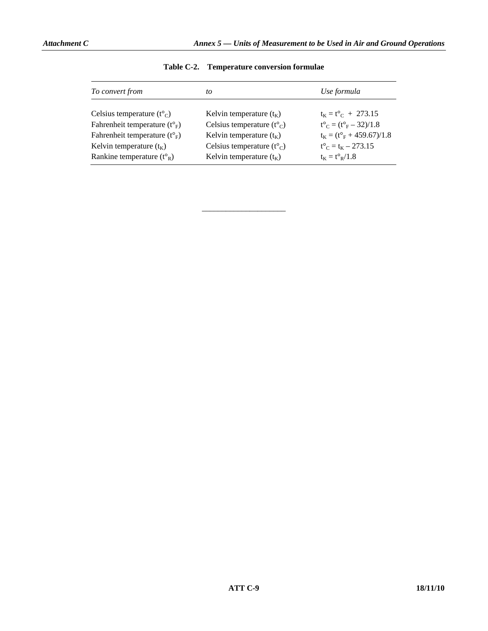| To convert from                                   | to                                                | Use formula                                                    |
|---------------------------------------------------|---------------------------------------------------|----------------------------------------------------------------|
| Celsius temperature $(t^{\circ}$ <sub>C</sub> $)$ | Kelvin temperature $(t_K)$                        | $t_K = t^{\circ}C + 273.15$                                    |
| Fahrenheit temperature $(t^{\circ}_{F})$          | Celsius temperature $(t^{\circ}$ <sub>C</sub> $)$ | $t^{\circ}$ <sub>C</sub> = $(t^{\circ}$ <sub>F</sub> - 32)/1.8 |
| Fahrenheit temperature $(t^{\circ}_{F})$          | Kelvin temperature $(t_K)$                        | $t_K = (t_{F}^{\circ} + 459.67)/1.8$                           |
| Kelvin temperature $(t_K)$                        | Celsius temperature $(t^{\circ}$ <sub>C</sub> $)$ | $t^{\circ}$ <sub>C</sub> = t <sub>K</sub> – 273.15             |
| Rankine temperature $(t^{\circ}_{R})$             | Kelvin temperature $(t_K)$                        | $t_{K} = t_{R}^{\circ}/1.8$                                    |

| Table C-2. | <b>Temperature conversion formulae</b> |  |  |
|------------|----------------------------------------|--|--|
|------------|----------------------------------------|--|--|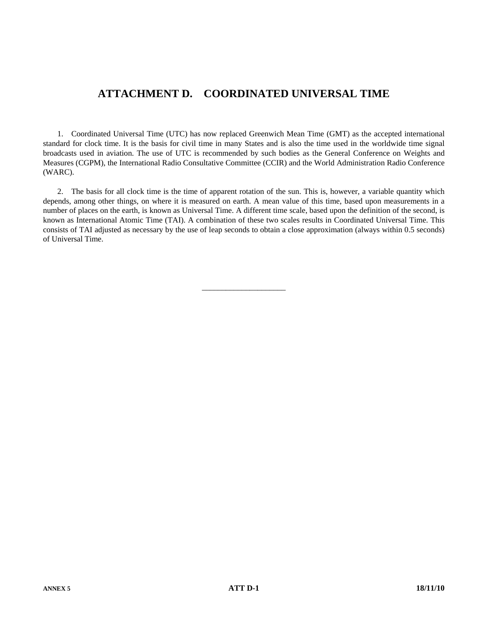# **ATTACHMENT D. COORDINATED UNIVERSAL TIME**

 1. Coordinated Universal Time (UTC) has now replaced Greenwich Mean Time (GMT) as the accepted international standard for clock time. It is the basis for civil time in many States and is also the time used in the worldwide time signal broadcasts used in aviation. The use of UTC is recommended by such bodies as the General Conference on Weights and Measures (CGPM), the International Radio Consultative Committee (CCIR) and the World Administration Radio Conference (WARC).

 2. The basis for all clock time is the time of apparent rotation of the sun. This is, however, a variable quantity which depends, among other things, on where it is measured on earth. A mean value of this time, based upon measurements in a number of places on the earth, is known as Universal Time. A different time scale, based upon the definition of the second, is known as International Atomic Time (TAI). A combination of these two scales results in Coordinated Universal Time. This consists of TAI adjusted as necessary by the use of leap seconds to obtain a close approximation (always within 0.5 seconds) of Universal Time.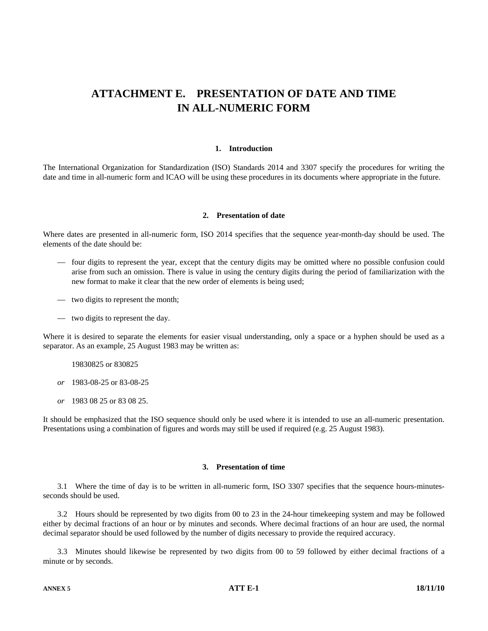# **ATTACHMENT E. PRESENTATION OF DATE AND TIME IN ALL-NUMERIC FORM**

#### **1. Introduction**

The International Organization for Standardization (ISO) Standards 2014 and 3307 specify the procedures for writing the date and time in all-numeric form and ICAO will be using these procedures in its documents where appropriate in the future.

#### **2. Presentation of date**

Where dates are presented in all-numeric form, ISO 2014 specifies that the sequence year-month-day should be used. The elements of the date should be:

- four digits to represent the year, except that the century digits may be omitted where no possible confusion could arise from such an omission. There is value in using the century digits during the period of familiarization with the new format to make it clear that the new order of elements is being used;
- two digits to represent the month;
- two digits to represent the day.

Where it is desired to separate the elements for easier visual understanding, only a space or a hyphen should be used as a separator. As an example, 25 August 1983 may be written as:

19830825 or 830825

 *or* 1983-08-25 or 83-08-25

 *or* 1983 08 25 or 83 08 25.

It should be emphasized that the ISO sequence should only be used where it is intended to use an all-numeric presentation. Presentations using a combination of figures and words may still be used if required (e.g. 25 August 1983).

#### **3. Presentation of time**

 3.1 Where the time of day is to be written in all-numeric form, ISO 3307 specifies that the sequence hours-minutesseconds should be used.

 3.2 Hours should be represented by two digits from 00 to 23 in the 24-hour timekeeping system and may be followed either by decimal fractions of an hour or by minutes and seconds. Where decimal fractions of an hour are used, the normal decimal separator should be used followed by the number of digits necessary to provide the required accuracy.

 3.3 Minutes should likewise be represented by two digits from 00 to 59 followed by either decimal fractions of a minute or by seconds.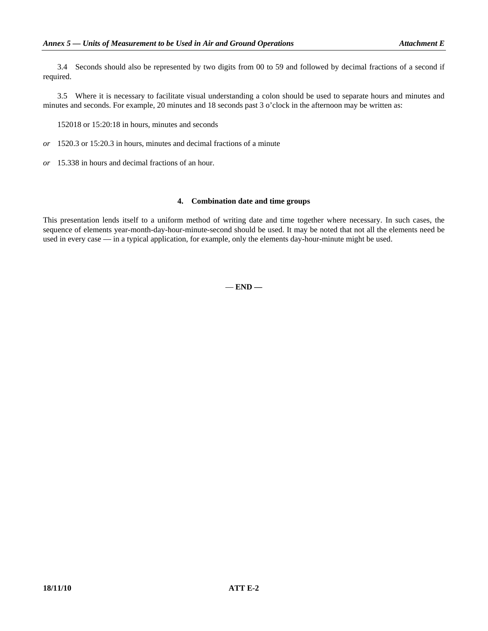3.4 Seconds should also be represented by two digits from 00 to 59 and followed by decimal fractions of a second if required.

 3.5 Where it is necessary to facilitate visual understanding a colon should be used to separate hours and minutes and minutes and seconds. For example, 20 minutes and 18 seconds past 3 o'clock in the afternoon may be written as:

152018 or 15:20:18 in hours, minutes and seconds

- *or* 1520.3 or 15:20.3 in hours, minutes and decimal fractions of a minute
- *or* 15.338 in hours and decimal fractions of an hour.

#### **4. Combination date and time groups**

This presentation lends itself to a uniform method of writing date and time together where necessary. In such cases, the sequence of elements year-month-day-hour-minute-second should be used. It may be noted that not all the elements need be used in every case — in a typical application, for example, only the elements day-hour-minute might be used.

— **END —**